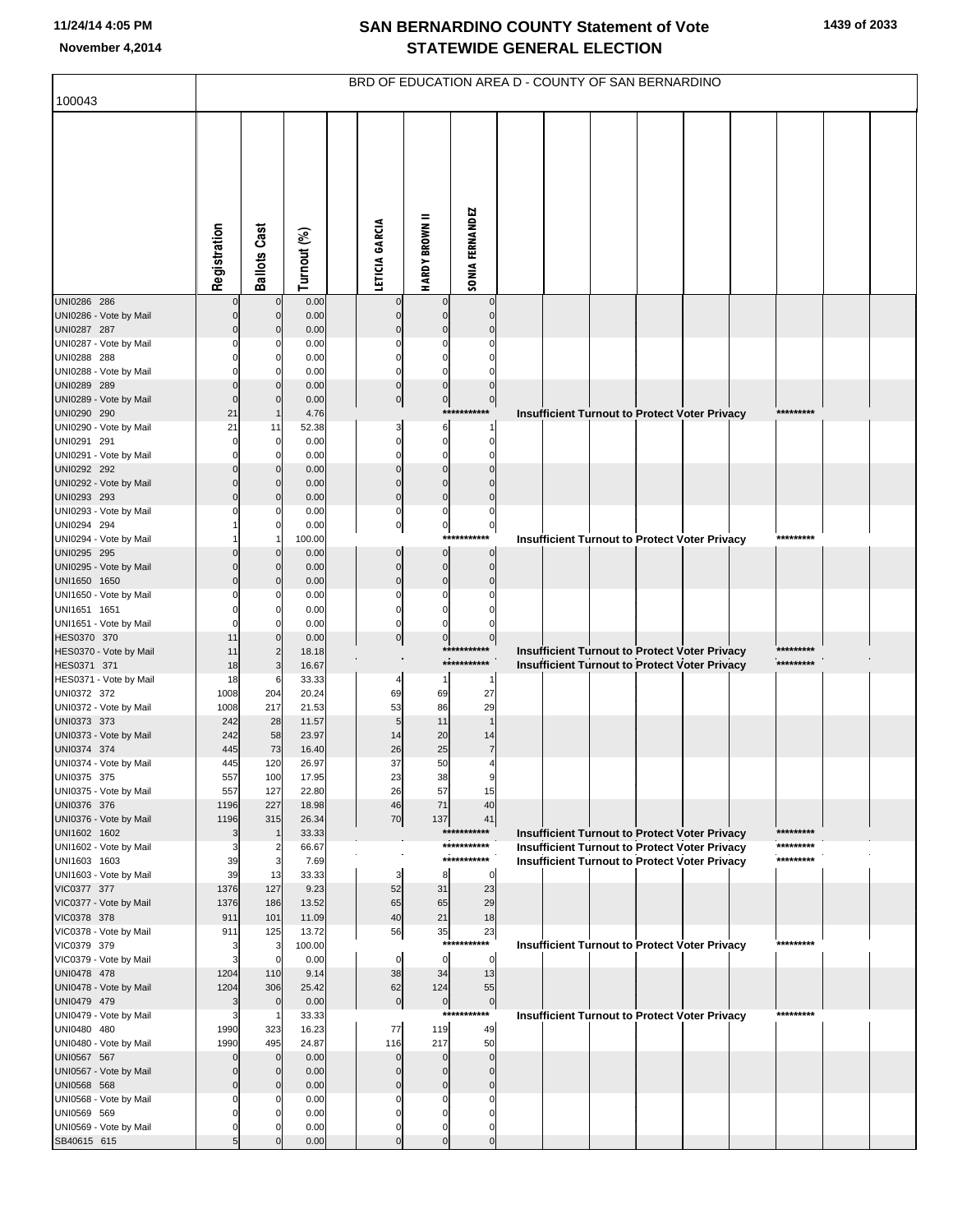| 100043                                 |                      |                                        |                 |                |                            |                               |                             | BRD OF EDUCATION AREA D - COUNTY OF SAN BERNARDINO |                                                      |  |           |  |
|----------------------------------------|----------------------|----------------------------------------|-----------------|----------------|----------------------------|-------------------------------|-----------------------------|----------------------------------------------------|------------------------------------------------------|--|-----------|--|
|                                        |                      |                                        |                 |                |                            |                               |                             |                                                    |                                                      |  |           |  |
|                                        | Registration         | <b>Ballots Cast</b>                    | Turnout (%)     | LETICIA GARCIA |                            | Ξ<br><b>HARDY BROWN</b>       | <b>SONIA FERNANDEZ</b>      |                                                    |                                                      |  |           |  |
| UNI0286 286                            |                      | $\mathbf 0$                            | 0.00            |                |                            | 0                             | $\Omega$                    |                                                    |                                                      |  |           |  |
| UNI0286 - Vote by Mail<br>UNI0287 287  |                      | $\mathbf 0$<br>$\Omega$                | 0.00<br>0.00    |                | $\Omega$<br>$\Omega$       | $\mathbf{0}$<br>$\mathbf 0$   | $\Omega$                    |                                                    |                                                      |  |           |  |
| UNI0287 - Vote by Mail                 |                      | C                                      | 0.00            |                |                            | $\Omega$                      |                             |                                                    |                                                      |  |           |  |
| UNI0288 288                            |                      | 0                                      | 0.00            |                | $\Omega$                   | $\mathbf 0$                   |                             |                                                    |                                                      |  |           |  |
| UNI0288 - Vote by Mail<br>UNI0289 289  |                      | C<br>$\Omega$                          | 0.00<br>0.00    |                | $\Omega$<br>$\pmb{0}$      | $\mathbf 0$<br>$\mathbf 0$    | $\mathbf 0$                 |                                                    |                                                      |  |           |  |
| UNI0289 - Vote by Mail                 |                      | $\Omega$                               | 0.00            |                | $\overline{0}$             | $\overline{0}$                | $\overline{0}$              |                                                    |                                                      |  |           |  |
| UNI0290 290                            | 21                   | $\mathbf 1$                            | 4.76            |                |                            |                               | ***********                 |                                                    | Insufficient Turnout to Protect Voter Privacy        |  | ********* |  |
| UNI0290 - Vote by Mail                 | 21                   | 11                                     | 52.38           |                | 3                          | 6                             | $\mathbf 1$                 |                                                    |                                                      |  |           |  |
| UNI0291 291<br>UNI0291 - Vote by Mail  | O                    | 0<br>$\Omega$                          | 0.00<br>0.00    |                | 0<br>$\Omega$              | $\mathbf 0$<br>$\mathbf 0$    | 0<br>$\Omega$               |                                                    |                                                      |  |           |  |
| UNI0292 292                            |                      | $\mathbf 0$                            | 0.00            |                | $\pmb{0}$                  | $\mathbf 0$                   | $\Omega$                    |                                                    |                                                      |  |           |  |
| UNI0292 - Vote by Mail                 |                      | $\mathbf 0$                            | 0.00            |                | $\Omega$                   | $\mathbf 0$                   | $\Omega$                    |                                                    |                                                      |  |           |  |
| UNI0293 293                            |                      | $\Omega$<br>C                          | 0.00<br>0.00    |                | $\pmb{0}$<br>0             | $\mathbf 0$<br>$\mathbf 0$    | $\Omega$<br>0               |                                                    |                                                      |  |           |  |
| UNI0293 - Vote by Mail<br>UNI0294 294  |                      | 0                                      | 0.00            |                | $\pmb{0}$                  | $\overline{0}$                | $\pmb{0}$                   |                                                    |                                                      |  |           |  |
| UNI0294 - Vote by Mail                 |                      |                                        | 100.00          |                |                            | $***$                         | *******                     |                                                    | <b>Insufficient Turnout to Protect Voter Privacy</b> |  | ********* |  |
| UNI0295 295                            |                      | $\Omega$                               | 0.00            |                | $\mathbf 0$                | $\overline{0}$                | $\mathbf 0$                 |                                                    |                                                      |  |           |  |
| UNI0295 - Vote by Mail<br>UNI1650 1650 |                      | $\Omega$<br>$\Omega$                   | 0.00<br>0.00    |                | $\mathbf 0$<br>$\mathbf 0$ | $\overline{0}$<br>$\mathbf 0$ | $\mathbf 0$<br>$\Omega$     |                                                    |                                                      |  |           |  |
| UNI1650 - Vote by Mail                 |                      | C                                      | 0.00            |                | $\Omega$                   | $\mathbf 0$                   |                             |                                                    |                                                      |  |           |  |
| UNI1651 1651                           |                      | 0                                      | 0.00            |                | 0                          | $\mathbf 0$                   |                             |                                                    |                                                      |  |           |  |
| UNI1651 - Vote by Mail                 |                      | C                                      | 0.00            |                | $\Omega$                   | $\mathbf 0$<br>$\overline{0}$ |                             |                                                    |                                                      |  |           |  |
| HES0370 370<br>HES0370 - Vote by Mail  | 11<br>11             | $\mathbf 0$<br>$\overline{\mathbf{c}}$ | 0.00<br>18.18   |                | $\overline{0}$             |                               | $\pmb{0}$<br>***********    |                                                    | Insufficient Turnout to Protect Voter Privacy        |  | ********* |  |
| HES0371 371                            | 18                   | 3                                      | 16.67           |                |                            |                               | ***********                 |                                                    | <b>Insufficient Turnout to Protect Voter Privacy</b> |  | ********* |  |
| HES0371 - Vote by Mail                 | 18                   | 6                                      | 33.33           |                |                            |                               |                             |                                                    |                                                      |  |           |  |
| UNI0372 372<br>UNI0372 - Vote by Mail  | 1008<br>1008         | 204<br>217                             | 20.24<br>21.53  |                | 69<br>53                   | 69<br>86                      | 27<br>29                    |                                                    |                                                      |  |           |  |
| UNI0373 373                            | 242                  | 28                                     | 11.57           |                | 5                          | 11                            |                             |                                                    |                                                      |  |           |  |
| UNI0373 - Vote by Mail                 | 242                  | 58                                     | 23.97           |                | 14                         | 20                            | 14                          |                                                    |                                                      |  |           |  |
| UNI0374 374<br>UNI0374 - Vote by Mail  | 445<br>445           | 73<br>120                              | 16.40<br>26.97  |                | 26<br>37                   | 25<br>50                      | $\overline{7}$              |                                                    |                                                      |  |           |  |
| UNI0375 375                            | 557                  | 100                                    | 17.95           |                | 23                         | 38                            |                             |                                                    |                                                      |  |           |  |
| UNI0375 - Vote by Mail                 | 557                  | 127                                    | 22.80           |                | 26                         | 57                            | 15                          |                                                    |                                                      |  |           |  |
| UNI0376 376                            | 1196                 | 227                                    | 18.98           |                | 46                         | 71                            | 40                          |                                                    |                                                      |  |           |  |
| UNI0376 - Vote by Mail<br>UNI1602 1602 | 1196<br>3            | 315<br>-1                              | 26.34<br>33.33  |                | 70                         | 137                           | 41<br>***********           |                                                    | <b>Insufficient Turnout to Protect Voter Privacy</b> |  | ********* |  |
| UNI1602 - Vote by Mail                 | 3                    | $\overline{2}$                         | 66.67           |                |                            |                               | ***********                 |                                                    | <b>Insufficient Turnout to Protect Voter Privacy</b> |  | ********* |  |
| UNI1603 1603                           | 39                   | 3                                      | 7.69            |                |                            |                               | ***********                 |                                                    | <b>Insufficient Turnout to Protect Voter Privacy</b> |  | ********* |  |
| UNI1603 - Vote by Mail<br>VIC0377 377  | 39<br>1376           | 13<br>127                              | 33.33<br>9.23   |                | 3<br>52                    | 8<br>31                       | $\mathbf 0$<br>23           |                                                    |                                                      |  |           |  |
| VIC0377 - Vote by Mail                 | 1376                 | 186                                    | 13.52           |                | 65                         | 65                            | 29                          |                                                    |                                                      |  |           |  |
| VIC0378 378                            | 911                  | 101                                    | 11.09           |                | 40                         | 21                            | 18                          |                                                    |                                                      |  |           |  |
| VIC0378 - Vote by Mail<br>VIC0379 379  | 911                  | 125<br>3                               | 13.72<br>100.00 |                | 56                         | 35                            | 23<br>***********           |                                                    | <b>Insufficient Turnout to Protect Voter Privacy</b> |  | ********* |  |
| VIC0379 - Vote by Mail                 |                      | $\mathbf 0$                            | 0.00            |                | $\Omega$                   | $\overline{0}$                | $\mathbf 0$                 |                                                    |                                                      |  |           |  |
| UNI0478 478                            | 1204                 | 110                                    | 9.14            |                | 38                         | 34                            | 13                          |                                                    |                                                      |  |           |  |
| UNI0478 - Vote by Mail                 | 1204                 | 306                                    | 25.42           |                | 62                         | 124                           | 55                          |                                                    |                                                      |  |           |  |
| UNI0479 479<br>UNI0479 - Vote by Mail  | 3<br>З               | $\mathbf 0$<br>-1                      | 0.00<br>33.33   |                | $\pmb{0}$                  | $\overline{0}$                | $\mathbf 0$<br>***********  |                                                    | <b>Insufficient Turnout to Protect Voter Privacy</b> |  | ********* |  |
| UNI0480 480                            | 1990                 | 323                                    | 16.23           |                | 77                         | 119                           | 49                          |                                                    |                                                      |  |           |  |
| UNI0480 - Vote by Mail                 | 1990                 | 495                                    | 24.87           |                | 116                        | 217                           | 50                          |                                                    |                                                      |  |           |  |
| UNI0567 567<br>UNI0567 - Vote by Mail  | $\Omega$<br>$\Omega$ | $\mathbf 0$<br>$\mathbf 0$             | 0.00<br>0.00    |                | $\mathbf 0$<br>$\Omega$    | $\mathbf{0}$<br>$\mathbf 0$   | $\mathbf 0$<br>$\mathbf 0$  |                                                    |                                                      |  |           |  |
| UNI0568 568                            | $\Omega$             | $\mathbf 0$                            | 0.00            |                | $\mathbf{0}$               | $\mathbf 0$                   | $\mathbf 0$                 |                                                    |                                                      |  |           |  |
| UNI0568 - Vote by Mail                 | O                    | C                                      | 0.00            |                | $\Omega$                   | $\mathbf 0$                   | 0                           |                                                    |                                                      |  |           |  |
| UNI0569 569                            |                      | $\Omega$                               | 0.00            |                | $\Omega$                   | $\mathbf 0$                   | $\Omega$                    |                                                    |                                                      |  |           |  |
| UNI0569 - Vote by Mail<br>SB40615 615  | 0                    | C                                      | 0.00<br>0.00    |                | $\Omega$<br>$\mathbf 0$    | 0<br>$\mathbf 0$              | $\mathbf 0$<br>$\mathbf{0}$ |                                                    |                                                      |  |           |  |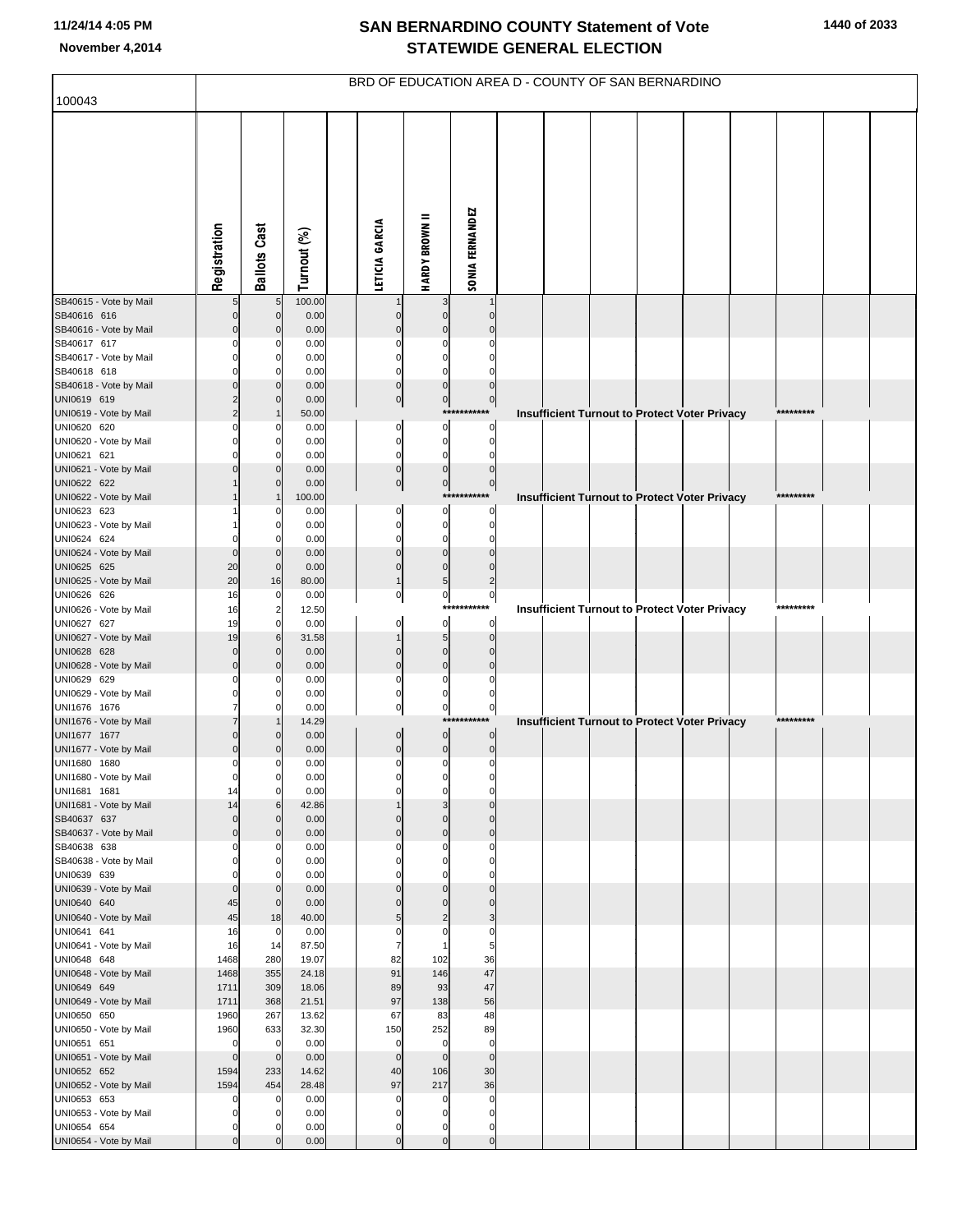| 100043                                 |                            |                         |                | BRD OF EDUCATION AREA D - COUNTY OF SAN BERNARDINO |                               |                         |                                                      |  |  |           |  |
|----------------------------------------|----------------------------|-------------------------|----------------|----------------------------------------------------|-------------------------------|-------------------------|------------------------------------------------------|--|--|-----------|--|
|                                        |                            |                         |                |                                                    |                               |                         |                                                      |  |  |           |  |
|                                        | Registration               | <b>Ballots Cast</b>     | Turnout (%)    | LETICIA GARCIA                                     | <b>HARDY BROWN II</b>         | <b>SONIA FERNANDEZ</b>  |                                                      |  |  |           |  |
| SB40615 - Vote by Mail                 | 5                          | 5                       | 100.00         |                                                    | 3                             |                         |                                                      |  |  |           |  |
| SB40616 616<br>SB40616 - Vote by Mail  | 0<br>O                     | 0<br>$\Omega$           | 0.00<br>0.00   |                                                    | $\Omega$                      |                         |                                                      |  |  |           |  |
| SB40617 617                            |                            | 0                       | 0.00           |                                                    |                               |                         |                                                      |  |  |           |  |
| SB40617 - Vote by Mail                 |                            | O                       | 0.00           |                                                    |                               |                         |                                                      |  |  |           |  |
| SB40618 618                            |                            | 0                       | 0.00           |                                                    | O                             |                         |                                                      |  |  |           |  |
| SB40618 - Vote by Mail<br>UNI0619 619  |                            | $\Omega$<br>$\Omega$    | 0.00<br>0.00   | $\Omega$<br>$\pmb{0}$                              | $\Omega$<br>$\pmb{0}$         | $\Omega$<br>$\pmb{0}$   |                                                      |  |  |           |  |
| UNI0619 - Vote by Mail                 |                            |                         | 50.00          |                                                    |                               | ******<br>****          | <b>Insufficient Turnout to Protect Voter Privacy</b> |  |  | ********* |  |
| UNI0620 620                            |                            | 0                       | 0.00           | 0                                                  | $\Omega$                      | $\mathbf 0$             |                                                      |  |  |           |  |
| UNI0620 - Vote by Mail<br>UNI0621 621  |                            | O<br>O                  | 0.00<br>0.00   | $\Omega$<br>0                                      | $\mathbf 0$<br>0              | $\Omega$<br>C           |                                                      |  |  |           |  |
| UNI0621 - Vote by Mail                 |                            | O                       | 0.00           | $\mathbf 0$                                        | $\bf 0$                       | $\Omega$                |                                                      |  |  |           |  |
| UNI0622 622                            |                            | $\Omega$                | 0.00           | $\pmb{0}$                                          | $\overline{0}$                | $\pmb{0}$               |                                                      |  |  |           |  |
| UNI0622 - Vote by Mail                 |                            |                         | 100.00         |                                                    | ****                          |                         | <b>Insufficient Turnout to Protect Voter Privacy</b> |  |  | ********  |  |
| UNI0623 623<br>UNI0623 - Vote by Mail  |                            | O<br>0                  | 0.00<br>0.00   | O<br>O                                             | $\mathbf 0$<br>$\mathbf 0$    | $\Omega$<br>$\Omega$    |                                                      |  |  |           |  |
| UNI0624 624                            |                            | O                       | 0.00           | 0                                                  | 0                             |                         |                                                      |  |  |           |  |
| UNI0624 - Vote by Mail                 | $\Omega$                   | $\Omega$                | 0.00           |                                                    | $\Omega$                      |                         |                                                      |  |  |           |  |
| UNI0625 625<br>UNI0625 - Vote by Mail  | 20<br>20                   | $\mathbf 0$<br>16       | 0.00<br>80.00  | O                                                  | $\mathbf 0$<br>5              | 2                       |                                                      |  |  |           |  |
| UNI0626 626                            | 16                         | 0                       | 0.00           | 0                                                  | $\overline{0}$                | $\pmb{0}$               |                                                      |  |  |           |  |
| UNI0626 - Vote by Mail                 | 16                         | $\overline{\mathbf{c}}$ | 12.50          |                                                    | ***                           |                         | <b>Insufficient Turnout to Protect Voter Privacy</b> |  |  |           |  |
| UNI0627 627                            | 19                         | $\mathbf 0$             | 0.00           | 0                                                  | $\pmb{0}$<br>$\overline{5}$   | $\mathbf 0$<br>$\Omega$ |                                                      |  |  |           |  |
| UNI0627 - Vote by Mail<br>UNI0628 628  | 19<br>$\Omega$             | 6<br>0                  | 31.58<br>0.00  | $\Omega$                                           | $\mathbf 0$                   |                         |                                                      |  |  |           |  |
| UNI0628 - Vote by Mail                 | $\Omega$                   | $\Omega$                | 0.00           | $\Omega$                                           | $\Omega$                      |                         |                                                      |  |  |           |  |
| UNI0629 629                            |                            | 0                       | 0.00           | O                                                  | $\Omega$                      |                         |                                                      |  |  |           |  |
| UNI0629 - Vote by Mail<br>UNI1676 1676 |                            | 0<br>$\Omega$           | 0.00<br>0.00   | $\Omega$                                           | 0<br>$\overline{0}$           | C<br>$\pmb{0}$          |                                                      |  |  |           |  |
| UNI1676 - Vote by Mail                 |                            |                         | 14.29          |                                                    | ***                           |                         | <b>Insufficient Turnout to Protect Voter Privacy</b> |  |  | ********* |  |
| UNI1677 1677                           | $\Omega$                   | 0                       | 0.00           | 0                                                  | $\overline{0}$                | $\mathbf 0$             |                                                      |  |  |           |  |
| UNI1677 - Vote by Mail                 | $\Omega$<br>$\mathbf 0$    | 0                       | 0.00           | $\mathbf 0$<br>0                                   | $\pmb{0}$<br>$\mathbf 0$      | $\mathbf 0$<br>$\Omega$ |                                                      |  |  |           |  |
| UNI1680 1680<br>UNI1680 - Vote by Mail | $\mathbf 0$                | 0<br>$\mathbf 0$        | 0.00<br>0.00   | 0                                                  | 0                             | $\mathbf 0$             |                                                      |  |  |           |  |
| UNI1681 1681                           | 14                         | 0                       | 0.00           | $\mathbf 0$                                        | $\mathbf 0$                   | $\Omega$                |                                                      |  |  |           |  |
| UNI1681 - Vote by Mail                 | 14                         | 6                       | 42.86          |                                                    | 3                             | $\Omega$                |                                                      |  |  |           |  |
| SB40637 637<br>SB40637 - Vote by Mail  | $\mathbf 0$<br>$\mathbf 0$ | $\Omega$<br>$\Omega$    | 0.00<br>0.00   | $\Omega$<br>$\mathbf{0}$                           | $\mathbf 0$<br>$\overline{0}$ | $\Omega$<br>$\Omega$    |                                                      |  |  |           |  |
| SB40638 638                            | $\mathbf 0$                | $\Omega$                | 0.00           | O                                                  | $\mathbf 0$                   | $\Omega$                |                                                      |  |  |           |  |
| SB40638 - Vote by Mail                 | 0                          | $\Omega$                | 0.00           | O                                                  | $\Omega$                      | $\Omega$                |                                                      |  |  |           |  |
| UNI0639 639<br>UNI0639 - Vote by Mail  | $\mathbf 0$<br>$\mathbf 0$ | $\Omega$<br>$\mathbf 0$ | 0.00<br>0.00   | O<br>$\Omega$                                      | $\Omega$<br>$\mathbf 0$       | $\Omega$<br>$\Omega$    |                                                      |  |  |           |  |
| UNI0640 640                            | 45                         | $\mathbf 0$             | 0.00           | $\Omega$                                           | $\Omega$                      | $\Omega$                |                                                      |  |  |           |  |
| UNI0640 - Vote by Mail                 | 45                         | 18                      | 40.00          | 5                                                  | $\overline{c}$                | 3                       |                                                      |  |  |           |  |
| UNI0641 641<br>UNI0641 - Vote by Mail  | 16<br>16                   | $\mathbf 0$<br>14       | 0.00<br>87.50  | 0<br>$\overline{7}$                                | $\mathbf 0$                   | $\mathbf 0$<br>5        |                                                      |  |  |           |  |
| UNI0648 648                            | 1468                       | 280                     | 19.07          | 82                                                 | 102                           | 36                      |                                                      |  |  |           |  |
| UNI0648 - Vote by Mail                 | 1468                       | 355                     | 24.18          | 91                                                 | 146                           | 47                      |                                                      |  |  |           |  |
| UNI0649 649                            | 1711                       | 309                     | 18.06          | 89<br>97                                           | 93<br>138                     | 47<br>56                |                                                      |  |  |           |  |
| UNI0649 - Vote by Mail<br>UNI0650 650  | 1711<br>1960               | 368<br>267              | 21.51<br>13.62 | 67                                                 | 83                            | 48                      |                                                      |  |  |           |  |
| UNI0650 - Vote by Mail                 | 1960                       | 633                     | 32.30          | 150                                                | 252                           | 89                      |                                                      |  |  |           |  |
| UNI0651 651                            | 0                          | $\mathbf 0$             | 0.00           | $\mathbf 0$                                        | $\mathbf 0$                   | $\mathbf 0$             |                                                      |  |  |           |  |
| UNI0651 - Vote by Mail<br>UNI0652 652  | $\mathbf 0$<br>1594        | $\mathbf{0}$<br>233     | 0.00<br>14.62  | $\mathbf{0}$<br>40                                 | $\overline{0}$<br>106         | $\mathbf{0}$<br>30      |                                                      |  |  |           |  |
| UNI0652 - Vote by Mail                 | 1594                       | 454                     | 28.48          | 97                                                 | 217                           | 36                      |                                                      |  |  |           |  |
| UNI0653 653                            | 0                          | 0                       | 0.00           | $\Omega$                                           | $\mathbf 0$                   | $\mathbf 0$             |                                                      |  |  |           |  |
| UNI0653 - Vote by Mail                 | $\mathbf 0$                | 0                       | 0.00           | $\Omega$                                           | $\mathbf 0$                   | $\Omega$                |                                                      |  |  |           |  |
| UNI0654 654<br>UNI0654 - Vote by Mail  | $\pmb{0}$<br>$\mathbf 0$   | O<br>n                  | 0.00<br>0.00   | 0<br>$\mathbf{0}$                                  | $\mathbf 0$<br>$\mathbf 0$    | 0<br>$\mathbf 0$        |                                                      |  |  |           |  |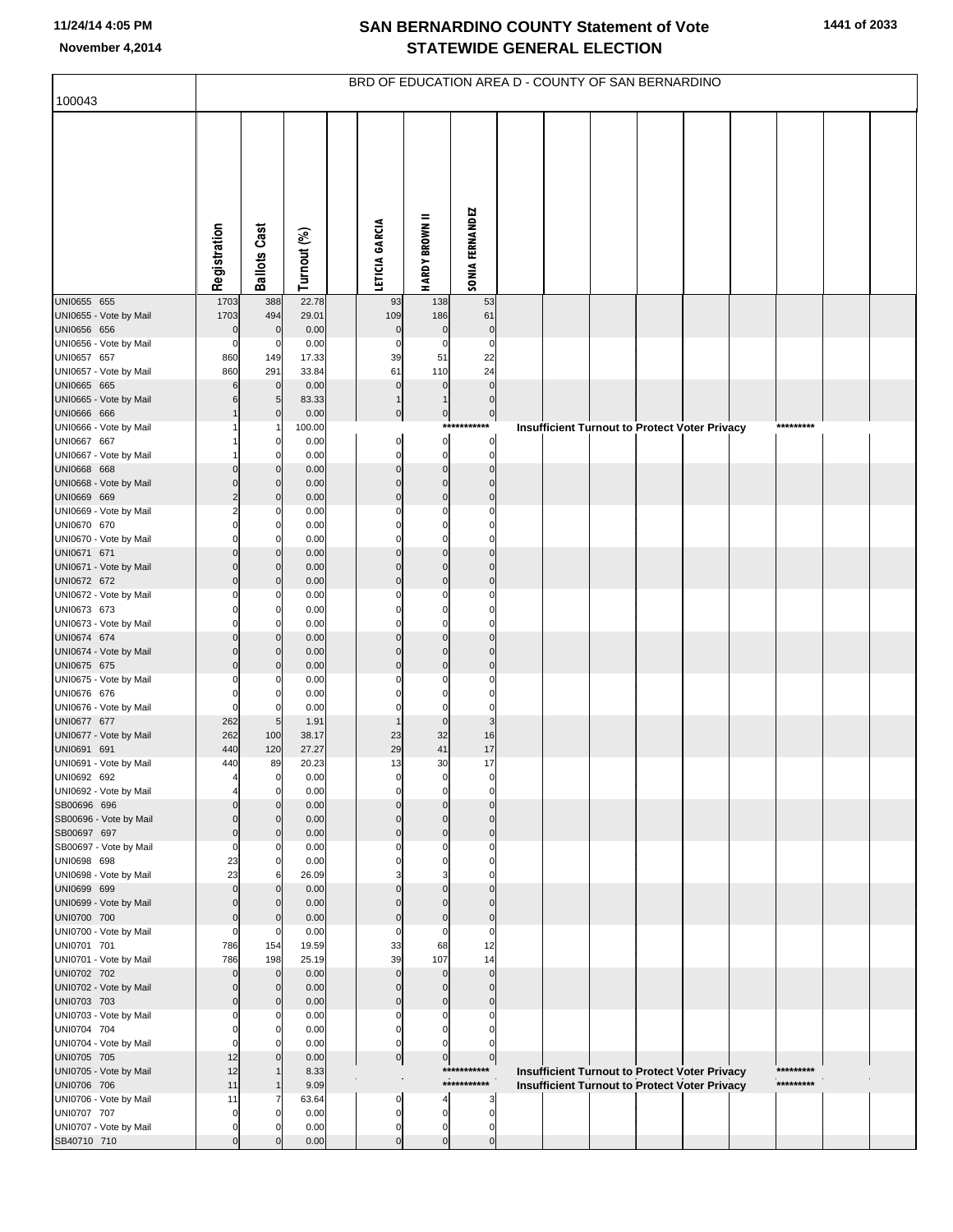|                                       |                            |                            |                |                             |                               |                               | BRD OF EDUCATION AREA D - COUNTY OF SAN BERNARDINO   |  |  |           |  |
|---------------------------------------|----------------------------|----------------------------|----------------|-----------------------------|-------------------------------|-------------------------------|------------------------------------------------------|--|--|-----------|--|
| 100043                                |                            |                            |                |                             |                               |                               |                                                      |  |  |           |  |
|                                       | Registration               | <b>Ballots Cast</b>        | Turnout (%)    | LETICIA GARCIA              | <b>HARDY BROWN II</b>         | <b>SONIA FERNANDEZ</b>        |                                                      |  |  |           |  |
| UNI0655 655                           | 1703                       | 388                        | 22.78          | 93                          | 138                           | 53                            |                                                      |  |  |           |  |
| UNI0655 - Vote by Mail<br>UNI0656 656 | 1703<br>$\mathbf 0$        | 494<br>$\mathbf 0$         | 29.01<br>0.00  | 109<br>$\pmb{0}$            | 186<br>$\pmb{0}$              | 61<br>$\pmb{0}$               |                                                      |  |  |           |  |
| UNI0656 - Vote by Mail                | $\mathbf 0$                | 0                          | 0.00           | 0                           | $\mathbf 0$                   | $\pmb{0}$                     |                                                      |  |  |           |  |
| UNI0657 657<br>UNI0657 - Vote by Mail | 860<br>860                 | 149<br>291                 | 17.33<br>33.84 | 39<br>61                    | 51<br>110                     | 22<br>24                      |                                                      |  |  |           |  |
| UNI0665 665                           | 6                          | $\mathbf 0$                | 0.00           | $\pmb{0}$                   | $\mathbf 0$                   | $\pmb{0}$                     |                                                      |  |  |           |  |
| UNI0665 - Vote by Mail                | 6                          | 5                          | 83.33          | $\mathbf{1}$                | $\mathbf{1}$                  | $\pmb{0}$                     |                                                      |  |  |           |  |
| UNI0666 666<br>UNI0666 - Vote by Mail |                            | $\mathbf 0$<br>-1          | 0.00<br>100.00 | $\pmb{0}$                   | $\pmb{0}$                     | $\overline{0}$<br>*********** | Insufficient Turnout to Protect Voter Privacy        |  |  | ********* |  |
| UNI0667 667                           |                            | C                          | 0.00           | $\mathbf 0$                 | $\bf 0$                       | $\bf 0$                       |                                                      |  |  |           |  |
| UNI0667 - Vote by Mail                |                            | 0                          | 0.00           | $\mathbf 0$                 | $\pmb{0}$                     | $\overline{0}$                |                                                      |  |  |           |  |
| UNI0668 668<br>UNI0668 - Vote by Mail | $\Omega$<br>$\mathbf 0$    | C<br>$\mathbf 0$           | 0.00<br>0.00   | $\mathbf 0$<br>$\mathbf 0$  | $\mathbf 0$<br>$\mathbf 0$    | $\mathbf 0$<br>$\mathbf 0$    |                                                      |  |  |           |  |
| UNI0669 669                           | $\overline{2}$             | $\mathbf 0$                | 0.00           | $\mathbf{0}$                | $\mathbf 0$                   | $\mathbf 0$                   |                                                      |  |  |           |  |
| UNI0669 - Vote by Mail                | $\overline{2}$<br>$\Omega$ | 0                          | 0.00           | $\Omega$                    | 0                             | $\mathbf 0$<br>0              |                                                      |  |  |           |  |
| UNI0670 670<br>UNI0670 - Vote by Mail | $\mathbf 0$                | 0<br>0                     | 0.00<br>0.00   | 0<br>$\mathbf 0$            | $\mathbf 0$<br>$\mathbf 0$    | $\mathbf 0$                   |                                                      |  |  |           |  |
| UNI0671 671                           | $\Omega$                   | C                          | 0.00           | $\Omega$                    | $\overline{0}$                | $\mathbf 0$                   |                                                      |  |  |           |  |
| UNI0671 - Vote by Mail<br>UNI0672 672 | $\mathbf 0$<br>$\Omega$    | $\mathbf 0$<br>$\mathbf 0$ | 0.00<br>0.00   | $\mathbf 0$<br>$\mathbf{0}$ | $\mathbf 0$<br>$\mathbf 0$    | $\mathbf 0$<br>$\mathbf 0$    |                                                      |  |  |           |  |
| UNI0672 - Vote by Mail                | $\Omega$                   | 0                          | 0.00           | $\Omega$                    | $\mathbf 0$                   | $\mathbf 0$                   |                                                      |  |  |           |  |
| UNI0673 673                           | $\Omega$                   | 0                          | 0.00           | $\Omega$                    | $\mathbf 0$                   | $\mathbf 0$                   |                                                      |  |  |           |  |
| UNI0673 - Vote by Mail<br>UNI0674 674 | $\mathbf 0$<br>$\Omega$    | 0<br>C                     | 0.00<br>0.00   | 0<br>$\Omega$               | $\mathbf 0$<br>$\overline{0}$ | $\mathbf 0$<br>$\Omega$       |                                                      |  |  |           |  |
| UNI0674 - Vote by Mail                | $\mathbf 0$                | $\mathbf 0$                | 0.00           | $\mathbf 0$                 | $\mathbf 0$                   | $\mathbf 0$                   |                                                      |  |  |           |  |
| UNI0675 675                           | $\Omega$<br>0              | C                          | 0.00           | $\mathbf 0$<br>0            | $\mathbf 0$<br>$\mathbf 0$    | $\mathbf 0$<br>$\mathbf 0$    |                                                      |  |  |           |  |
| UNI0675 - Vote by Mail<br>UNI0676 676 | $\Omega$                   | C<br>0                     | 0.00<br>0.00   | 0                           | $\mathbf 0$                   | $\mathbf 0$                   |                                                      |  |  |           |  |
| UNI0676 - Vote by Mail                | $\mathbf 0$                | 0                          | 0.00           | 0                           | $\mathbf 0$                   | $\pmb{0}$                     |                                                      |  |  |           |  |
| UNI0677 677<br>UNI0677 - Vote by Mail | 262<br>262                 | 5<br>100                   | 1.91<br>38.17  | $\mathbf 1$<br>23           | $\mathbf 0$<br>32             | $\mathbf{3}$<br>16            |                                                      |  |  |           |  |
| UNI0691 691                           | 440                        | 120                        | 27.27          | 29                          | 41                            | 17                            |                                                      |  |  |           |  |
| UNI0691 - Vote by Mail                | 440                        | 89                         | 20.23          | 13                          | 30                            | 17                            |                                                      |  |  |           |  |
| UNI0692 692<br>UNI0692 - Vote by Mail |                            | $\mathbf 0$<br>0           | 0.00<br>0.00   | 0<br>$\mathbf 0$            | 0<br>$\mathbf 0$              | 0<br>$\mathbf 0$              |                                                      |  |  |           |  |
| SB00696 696                           | $\Omega$                   | C                          | 0.00           | $\Omega$                    | $\Omega$                      | $\Omega$                      |                                                      |  |  |           |  |
| SB00696 - Vote by Mail<br>SB00697 697 | $\mathbf 0$<br>$\mathbf 0$ | 0<br>$\mathcal{C}$         | 0.00           | $\mathbf 0$<br>$\mathbf{0}$ | $\mathbf 0$<br>$\mathbf 0$    | $\mathbf 0$<br>$\Omega$       |                                                      |  |  |           |  |
| SB00697 - Vote by Mail                | $\mathbf 0$                | 0                          | 0.00<br>0.00   | 0                           | $\mathbf 0$                   | $\mathbf 0$                   |                                                      |  |  |           |  |
| UNI0698 698                           | 23                         | 0                          | 0.00           | $\Omega$                    | $\mathbf 0$                   | $\Omega$                      |                                                      |  |  |           |  |
| UNI0698 - Vote by Mail<br>UNI0699 699 | 23<br>$\mathbf 0$          | 6<br>C                     | 26.09<br>0.00  | 3<br>$\Omega$               | 3<br>$\Omega$                 | $\Omega$<br>$\Omega$          |                                                      |  |  |           |  |
| UNI0699 - Vote by Mail                | $\mathbf 0$                | $\mathbf 0$                | 0.00           | $\mathbf{0}$                | $\mathbf 0$                   | $\mathbf{0}$                  |                                                      |  |  |           |  |
| UNI0700 700                           | $\mathbf 0$                | $\mathbf 0$                | 0.00           | $\mathbf{0}$                | $\mathbf 0$                   | $\mathbf 0$                   |                                                      |  |  |           |  |
| UNI0700 - Vote by Mail<br>UNI0701 701 | $\mathbf 0$<br>786         | 0<br>154                   | 0.00<br>19.59  | $\mathbf 0$<br>33           | $\mathbf 0$<br>68             | $\mathbf 0$<br>12             |                                                      |  |  |           |  |
| UNI0701 - Vote by Mail                | 786                        | 198                        | 25.19          | 39                          | 107                           | 14                            |                                                      |  |  |           |  |
| UNI0702 702                           | $\mathbf 0$                | $\mathbf 0$                | 0.00           | $\mathbf{0}$                | $\mathbf 0$                   | $\mathbf 0$                   |                                                      |  |  |           |  |
| UNI0702 - Vote by Mail<br>UNI0703 703 | $\mathbf 0$<br>$\mathbf 0$ | $\mathbf 0$<br>$\mathbf 0$ | 0.00<br>0.00   | $\mathbf 0$<br>$\mathbf{0}$ | $\mathbf 0$<br>$\mathbf 0$    | $\mathbf 0$<br>$\mathbf 0$    |                                                      |  |  |           |  |
| UNI0703 - Vote by Mail                | 0                          | 0                          | 0.00           | $\Omega$                    | $\mathbf 0$                   | 0                             |                                                      |  |  |           |  |
| UNI0704 704<br>UNI0704 - Vote by Mail | $\Omega$<br>$\mathbf 0$    | $\Omega$<br>0              | 0.00<br>0.00   | $\mathbf 0$<br>$\mathbf 0$  | $\mathbf 0$<br>$\mathbf 0$    | $\Omega$<br>0                 |                                                      |  |  |           |  |
| UNI0705 705                           | 12                         | C                          | 0.00           | $\overline{0}$              | $\pmb{0}$                     | $\overline{0}$                |                                                      |  |  |           |  |
| UNI0705 - Vote by Mail                | 12                         | 1                          | 8.33           | ×.                          |                               | ***********                   | Insufficient Turnout to Protect Voter Privacy        |  |  | ********* |  |
| UNI0706 706<br>UNI0706 - Vote by Mail | 11<br>11                   | 7                          | 9.09<br>63.64  | 0                           | 4                             | ***********<br>3              | <b>Insufficient Turnout to Protect Voter Privacy</b> |  |  | ********* |  |
| UNI0707 707                           | $\mathbf 0$                |                            | 0.00           | $\mathbf 0$                 | $\mathbf 0$                   | $\mathbf 0$                   |                                                      |  |  |           |  |
| UNI0707 - Vote by Mail<br>SB40710 710 | $\mathbf 0$<br>$\Omega$    | 0                          | 0.00<br>0.00   | $\mathbf 0$<br>$\Omega$     | $\mathbf 0$<br>$\mathbf 0$    | 0<br>$\mathbf 0$              |                                                      |  |  |           |  |
|                                       |                            |                            |                |                             |                               |                               |                                                      |  |  |           |  |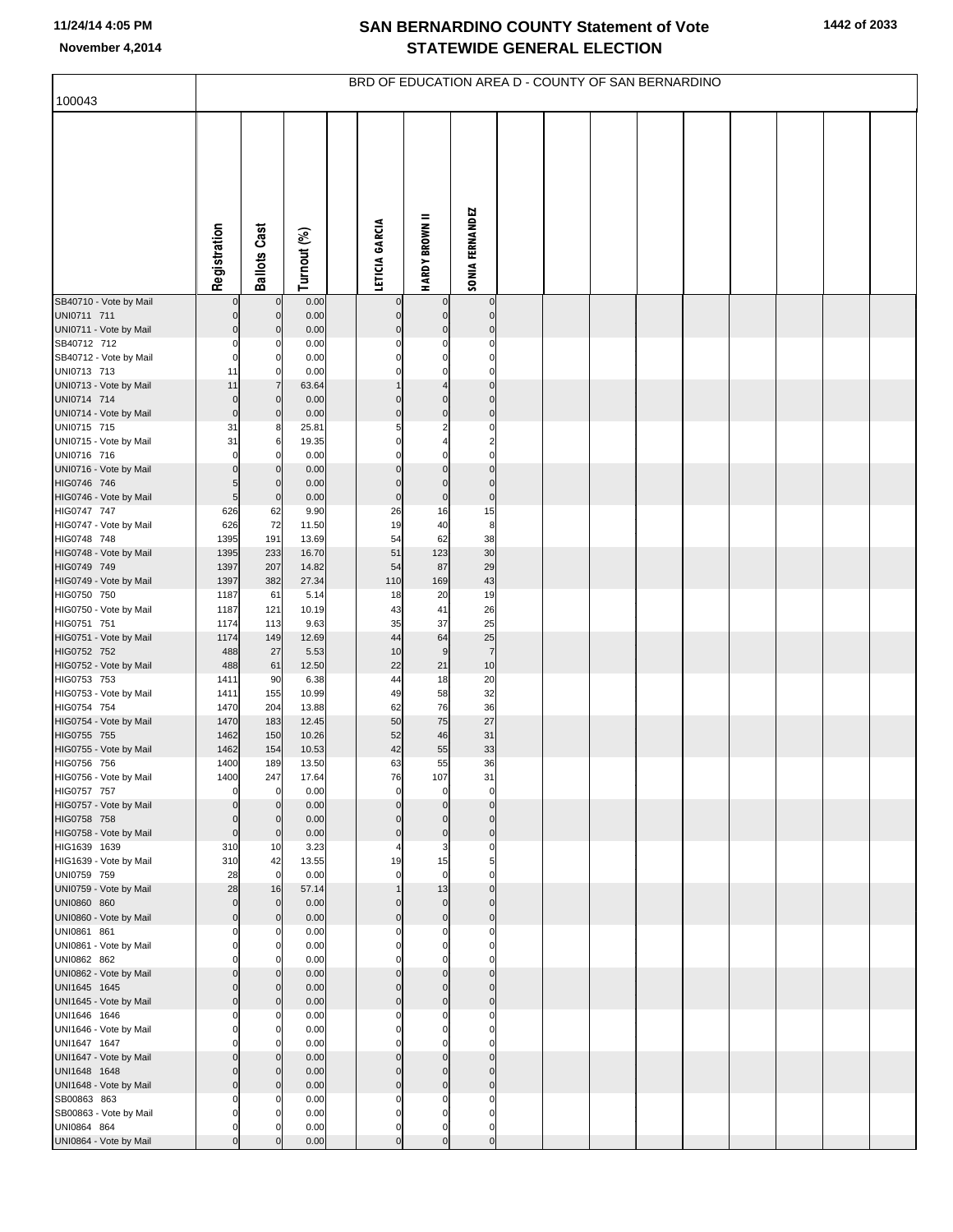| 100043                                 |                                |                            |                | BRD OF EDUCATION AREA D - COUNTY OF SAN BERNARDINO |                                      |                             |  |  |  |  |  |
|----------------------------------------|--------------------------------|----------------------------|----------------|----------------------------------------------------|--------------------------------------|-----------------------------|--|--|--|--|--|
|                                        |                                |                            |                |                                                    |                                      |                             |  |  |  |  |  |
|                                        | Registration                   | <b>Ballots Cast</b>        | Turnout (%)    | LETICIA GARCIA                                     | <b>HARDY BROWN II</b>                | <b>SONIA FERNANDEZ</b>      |  |  |  |  |  |
| SB40710 - Vote by Mail                 | 0                              | $\mathbf 0$                | 0.00           | 0                                                  | 0                                    | $\pmb{0}$                   |  |  |  |  |  |
| UNI0711 711                            | $\overline{0}$                 | $\mathbf 0$                | 0.00           | $\mathbf 0$                                        | $\overline{0}$                       | $\mathbf 0$                 |  |  |  |  |  |
| UNI0711 - Vote by Mail<br>SB40712 712  | $\overline{0}$<br>$\mathbf{0}$ | $\pmb{0}$<br>0             | 0.00<br>0.00   | $\mathbf 0$<br>0                                   | $\overline{0}$<br>$\mathbf 0$        | $\pmb{0}$<br>$\mathbf 0$    |  |  |  |  |  |
| SB40712 - Vote by Mail                 | $\mathbf 0$                    | $\mathbf 0$                | 0.00           | $\Omega$                                           | $\mathbf 0$                          | $\mathbf 0$                 |  |  |  |  |  |
| UNI0713 713                            | 11                             | $\mathbf 0$                | 0.00           | $\Omega$                                           | $\mathbf 0$                          | $\mathbf 0$                 |  |  |  |  |  |
| UNI0713 - Vote by Mail                 | 11                             | $\overline{7}$             | 63.64          | $\mathbf{1}$                                       | $\overline{4}$                       | $\mathbf 0$                 |  |  |  |  |  |
| UNI0714 714                            | $\mathbf 0$                    | $\mathbf 0$                | 0.00           | $\mathbf 0$                                        | $\mathbf 0$                          | $\mathbf 0$                 |  |  |  |  |  |
| UNI0714 - Vote by Mail<br>UNI0715 715  | $\Omega$<br>31                 | $\mathbf 0$<br>8           | 0.00<br>25.81  | $\mathbf 0$<br>5                                   | $\pmb{0}$<br>$\overline{\mathbf{c}}$ | $\mathbf{0}$<br>$\mathbf 0$ |  |  |  |  |  |
| UNI0715 - Vote by Mail                 | 31                             | 6                          | 19.35          | 0                                                  | $\overline{\mathbf{4}}$              | $\overline{\mathbf{c}}$     |  |  |  |  |  |
| UNI0716 716                            | $\mathbf 0$                    | $\Omega$                   | 0.00           | $\mathbf 0$                                        | $\mathbf 0$                          | $\mathbf 0$                 |  |  |  |  |  |
| UNI0716 - Vote by Mail                 | $\Omega$                       | $\mathbf 0$                | 0.00           | $\mathbf 0$                                        | $\mathbf 0$                          | $\mathbf 0$                 |  |  |  |  |  |
| HIG0746 746                            | 5 <sub>l</sub>                 | $\mathbf 0$                | 0.00           | $\mathbf 0$                                        | $\mathbf 0$                          | $\mathbf 0$                 |  |  |  |  |  |
| HIG0746 - Vote by Mail<br>HIG0747 747  | 5 <sub>5</sub>                 | $\mathbf 0$                | 0.00           | $\mathbf 0$                                        | $\overline{0}$                       | $\mathbf 0$<br>15           |  |  |  |  |  |
| HIG0747 - Vote by Mail                 | 626<br>626                     | 62<br>72                   | 9.90<br>11.50  | 26<br>19                                           | 16<br>40                             | 8                           |  |  |  |  |  |
| HIG0748 748                            | 1395                           | 191                        | 13.69          | 54                                                 | 62                                   | 38                          |  |  |  |  |  |
| HIG0748 - Vote by Mail                 | 1395                           | 233                        | 16.70          | 51                                                 | 123                                  | 30                          |  |  |  |  |  |
| HIG0749 749                            | 1397                           | 207                        | 14.82          | 54                                                 | 87                                   | 29                          |  |  |  |  |  |
| HIG0749 - Vote by Mail                 | 1397                           | 382                        | 27.34          | 110                                                | 169                                  | 43                          |  |  |  |  |  |
| HIG0750 750<br>HIG0750 - Vote by Mail  | 1187<br>1187                   | 61<br>121                  | 5.14<br>10.19  | 18<br>43                                           | 20<br>41                             | 19<br>26                    |  |  |  |  |  |
| HIG0751 751                            | 1174                           | 113                        | 9.63           | 35                                                 | 37                                   | 25                          |  |  |  |  |  |
| HIG0751 - Vote by Mail                 | 1174                           | 149                        | 12.69          | 44                                                 | 64                                   | 25                          |  |  |  |  |  |
| HIG0752 752                            | 488                            | 27                         | 5.53           | 10                                                 | 9                                    | $\overline{7}$              |  |  |  |  |  |
| HIG0752 - Vote by Mail<br>HIG0753 753  | 488<br>1411                    | 61<br>90                   | 12.50<br>6.38  | 22<br>44                                           | 21<br>18                             | 10<br>20                    |  |  |  |  |  |
| HIG0753 - Vote by Mail                 | 1411                           | 155                        | 10.99          | 49                                                 | 58                                   | 32                          |  |  |  |  |  |
| HIG0754 754                            | 1470                           | 204                        | 13.88          | 62                                                 | 76                                   | 36                          |  |  |  |  |  |
| HIG0754 - Vote by Mail                 | 1470                           | 183                        | 12.45          | 50                                                 | 75                                   | 27                          |  |  |  |  |  |
| HIG0755 755                            | 1462                           | 150                        | 10.26          | 52                                                 | 46<br>55                             | 31                          |  |  |  |  |  |
| HIG0755 - Vote by Mail<br>HIG0756 756  | 1462<br>1400                   | 154<br>189                 | 10.53<br>13.50 | 42<br>63                                           | 55                                   | 33<br>36                    |  |  |  |  |  |
| HIG0756 - Vote by Mail                 | 1400                           | 247                        | 17.64          | 76                                                 | 107                                  | 31                          |  |  |  |  |  |
| HIG0757 757                            | $\overline{0}$                 | 0                          | 0.00           | 0                                                  | 0                                    | 0                           |  |  |  |  |  |
| HIG0757 - Vote by Mail                 | $\Omega$                       | $\mathbf 0$                | 0.00           | $\mathbf 0$                                        | $\pmb{0}$                            | $\mathbf 0$                 |  |  |  |  |  |
| HIG0758 758<br>HIG0758 - Vote by Mail  | $\Omega$<br>$\Omega$           | $\mathbf 0$<br>$\mathbf 0$ | 0.00<br>0.00   | $\Omega$<br>$\mathbf 0$                            | $\mathbf 0$<br>$\mathbf 0$           | $\mathbf 0$<br>$\pmb{0}$    |  |  |  |  |  |
| HIG1639 1639                           | 310                            | 10                         | 3.23           |                                                    | 3                                    | $\mathbf 0$                 |  |  |  |  |  |
| HIG1639 - Vote by Mail                 | 310                            | 42                         | 13.55          | 19                                                 | 15                                   | 5                           |  |  |  |  |  |
| UNI0759 759                            | 28                             | $\mathbf 0$                | 0.00           | 0                                                  | $\mathbf 0$                          | $\mathbf 0$                 |  |  |  |  |  |
| UNI0759 - Vote by Mail<br>UNI0860 860  | 28<br>$\Omega$                 | 16<br>$\mathbf 0$          | 57.14<br>0.00  | 1<br>$\Omega$                                      | 13<br>$\pmb{0}$                      | $\mathbf 0$<br>$\mathbf 0$  |  |  |  |  |  |
| UNI0860 - Vote by Mail                 | $\overline{0}$                 | $\mathbf 0$                | 0.00           | $\mathbf 0$                                        | $\pmb{0}$                            | $\mathbf 0$                 |  |  |  |  |  |
| UNI0861 861                            | $\Omega$                       | $\Omega$                   | 0.00           | $\Omega$                                           | $\mathbf 0$                          | 0                           |  |  |  |  |  |
| UNI0861 - Vote by Mail                 | $\Omega$                       | 0                          | 0.00           | $\Omega$                                           | $\mathbf 0$                          | $\mathbf 0$                 |  |  |  |  |  |
| UNI0862 862                            | $\Omega$                       | $\Omega$                   | 0.00           | $\Omega$                                           | $\mathbf 0$                          | $\mathbf 0$                 |  |  |  |  |  |
| UNI0862 - Vote by Mail                 | $\overline{0}$                 | $\mathbf 0$                | 0.00           | $\mathbf 0$<br>$\Omega$                            | $\overline{0}$<br>$\mathbf 0$        | $\mathbf 0$<br>$\mathbf 0$  |  |  |  |  |  |
| UNI1645 1645<br>UNI1645 - Vote by Mail | $\Omega$<br>$\Omega$           | $\Omega$<br>$\mathbf 0$    | 0.00<br>0.00   | $\mathbf 0$                                        | $\mathbf 0$                          | $\pmb{0}$                   |  |  |  |  |  |
| UNI1646 1646                           | $\Omega$                       | $\Omega$                   | 0.00           | 0                                                  | $\mathbf 0$                          | $\mathbf 0$                 |  |  |  |  |  |
| UNI1646 - Vote by Mail                 | $\Omega$                       | 0                          | 0.00           | 0                                                  | $\mathbf 0$                          | $\mathbf 0$                 |  |  |  |  |  |
| UNI1647 1647                           | $\Omega$                       | $\Omega$                   | 0.00           | $\Omega$                                           | $\mathbf 0$                          | $\mathbf 0$                 |  |  |  |  |  |
| UNI1647 - Vote by Mail                 | $\Omega$                       | $\mathbf 0$                | 0.00           | $\mathbf 0$<br>$\Omega$                            | $\mathbf 0$<br>$\mathbf 0$           | $\mathbf 0$<br>$\mathbf 0$  |  |  |  |  |  |
| UNI1648 1648<br>UNI1648 - Vote by Mail | $\Omega$<br>$\Omega$           | $\Omega$<br>$\mathbf 0$    | 0.00<br>0.00   | $\mathbf 0$                                        | $\mathbf 0$                          | $\mathbf 0$                 |  |  |  |  |  |
| SB00863 863                            | $\Omega$                       | $\Omega$                   | 0.00           | $\Omega$                                           | $\mathbf 0$                          | 0                           |  |  |  |  |  |
| SB00863 - Vote by Mail                 | $\Omega$                       | $\Omega$                   | 0.00           | 0                                                  | $\mathbf 0$                          | $\mathbf 0$                 |  |  |  |  |  |
| UNI0864 864                            | $\mathbf{0}$                   | C                          | 0.00           | $\pmb{0}$                                          | $\mathbf 0$                          | $\mathbf 0$                 |  |  |  |  |  |
| UNI0864 - Vote by Mail                 |                                |                            | 0.00           | $\Omega$                                           | $\overline{0}$                       | $\pmb{0}$                   |  |  |  |  |  |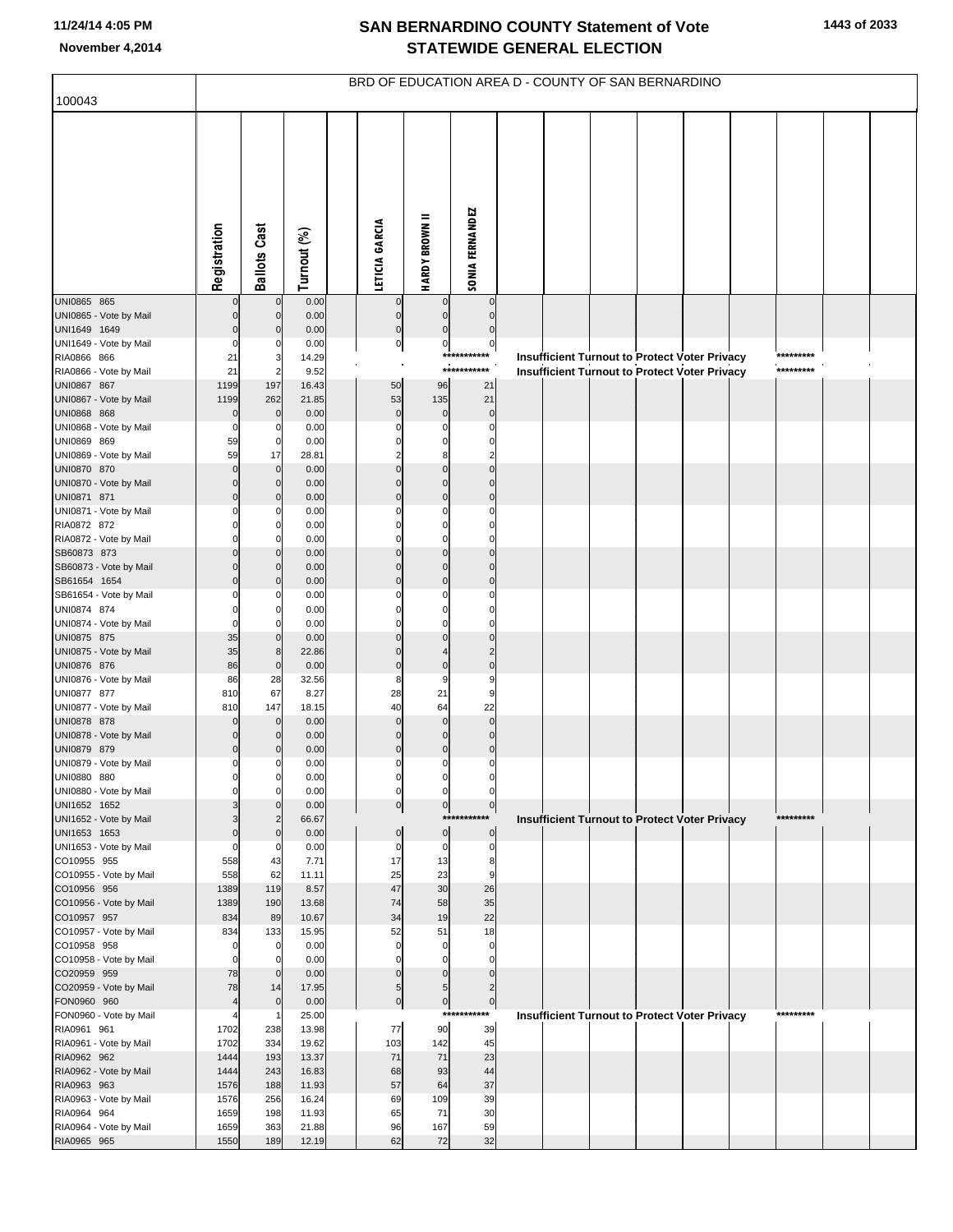|                                        |                                  |                               |                | BRD OF EDUCATION AREA D - COUNTY OF SAN BERNARDINO |                          |                               |  |                                                      |  |           |  |
|----------------------------------------|----------------------------------|-------------------------------|----------------|----------------------------------------------------|--------------------------|-------------------------------|--|------------------------------------------------------|--|-----------|--|
| 100043                                 |                                  |                               |                |                                                    |                          |                               |  |                                                      |  |           |  |
|                                        | Registration                     | <b>Ballots Cast</b>           | Turnout (%)    | LETICIA GARCIA                                     | <b>HARDY BROWN II</b>    | <b>SONIA FERNANDEZ</b>        |  |                                                      |  |           |  |
| UNI0865 865                            | $\Omega$                         | $\mathbf 0$                   | 0.00           | $\mathbf 0$                                        | $\mathbf 0$              | $\mathbf 0$                   |  |                                                      |  |           |  |
| UNI0865 - Vote by Mail<br>UNI1649 1649 | $\Omega$<br>$\Omega$             | $\mathbf 0$<br>$\Omega$       | 0.00<br>0.00   | $\pmb{0}$<br>$\mathbf 0$                           | $\mathbf 0$<br>$\Omega$  | $\mathbf 0$<br>$\mathbf 0$    |  |                                                      |  |           |  |
| UNI1649 - Vote by Mail                 | $\Omega$                         | 0                             | 0.00           | $\overline{0}$                                     | $\pmb{0}$                | $\pmb{0}$                     |  |                                                      |  |           |  |
| RIA0866 866                            | 21                               | 3                             | 14.29          |                                                    |                          | ***********                   |  | Insufficient Turnout to Protect Voter Privacy        |  | ********* |  |
| RIA0866 - Vote by Mail<br>UNI0867 867  | 21<br>1199                       | $\overline{2}$<br>197         | 9.52<br>16.43  | 50                                                 | 96                       | ***********<br>21             |  | <b>Insufficient Turnout to Protect Voter Privacy</b> |  | ********* |  |
| UNI0867 - Vote by Mail                 | 1199                             | 262                           | 21.85          | 53                                                 | 135                      | 21                            |  |                                                      |  |           |  |
| UNI0868 868                            | $\mathbf 0$                      | $\mathbf 0$                   | 0.00           | $\mathbf 0$                                        | $\pmb{0}$                | $\mathbf 0$                   |  |                                                      |  |           |  |
| UNI0868 - Vote by Mail                 | 0                                | 0                             | 0.00           | $\Omega$                                           | 0                        | 0                             |  |                                                      |  |           |  |
| UNI0869 869<br>UNI0869 - Vote by Mail  | 59<br>59                         | $\mathbf 0$<br>17             | 0.00<br>28.81  | C<br>2                                             | $\Omega$<br>8            | C<br>2                        |  |                                                      |  |           |  |
| UNI0870 870                            | $\Omega$                         | $\mathbf 0$                   | 0.00           | $\Omega$                                           | $\Omega$                 | $\Omega$                      |  |                                                      |  |           |  |
| UNI0870 - Vote by Mail                 | $\Omega$                         | $\mathbf 0$                   | 0.00           | $\Omega$                                           | $\mathbf 0$              | $\Omega$                      |  |                                                      |  |           |  |
| UNI0871 871<br>UNI0871 - Vote by Mail  | $\Omega$<br>0                    | $\Omega$<br>0                 | 0.00<br>0.00   | $\Omega$<br>$\Omega$                               | $\Omega$<br>0            | $\Omega$<br>0                 |  |                                                      |  |           |  |
| RIA0872 872                            |                                  | 0                             | 0.00           |                                                    | $\Omega$                 | C                             |  |                                                      |  |           |  |
| RIA0872 - Vote by Mail                 | $\Omega$                         | $\Omega$                      | 0.00           | $\Omega$                                           | $\Omega$                 | $\Omega$                      |  |                                                      |  |           |  |
| SB60873 873                            | $\Omega$                         | $\Omega$                      | 0.00           |                                                    | $\Omega$                 | $\Omega$                      |  |                                                      |  |           |  |
| SB60873 - Vote by Mail<br>SB61654 1654 | $\Omega$<br>$\Omega$             | $\mathbf 0$<br>$\Omega$       | 0.00<br>0.00   | $\Omega$<br>$\Omega$                               | $\mathbf 0$<br>$\Omega$  | $\mathbf 0$<br>$\Omega$       |  |                                                      |  |           |  |
| SB61654 - Vote by Mail                 | 0                                | 0                             | 0.00           | $\Omega$                                           | 0                        | 0                             |  |                                                      |  |           |  |
| UNI0874 874                            |                                  | 0                             | 0.00           |                                                    | $\Omega$                 | C                             |  |                                                      |  |           |  |
| UNI0874 - Vote by Mail                 | 0                                | $\Omega$                      | 0.00           | $\Omega$                                           | $\Omega$<br>$\Omega$     | $\Omega$                      |  |                                                      |  |           |  |
| UNI0875 875<br>UNI0875 - Vote by Mail  | 35<br>35                         | $\mathbf 0$<br>$\bf8$         | 0.00<br>22.86  | $\Omega$                                           |                          | $\Omega$<br>$\overline{2}$    |  |                                                      |  |           |  |
| UNI0876 876                            | 86                               | $\mathbf 0$                   | 0.00           | $\mathbf 0$                                        | $\mathbf 0$              | $\mathbf 0$                   |  |                                                      |  |           |  |
| UNI0876 - Vote by Mail                 | 86                               | 28                            | 32.56          | 8                                                  | 9                        | 9                             |  |                                                      |  |           |  |
| UNI0877 877<br>UNI0877 - Vote by Mail  | 810<br>810                       | 67<br>147                     | 8.27<br>18.15  | 28<br>40                                           | 21<br>64                 | 9<br>22                       |  |                                                      |  |           |  |
| UNI0878 878                            | $\Omega$                         | $\mathbf 0$                   | 0.00           | $\Omega$                                           | $\mathbf 0$              | $\mathbf 0$                   |  |                                                      |  |           |  |
| UNI0878 - Vote by Mail                 | 0                                | 0                             | 0.00           | $\mathbf 0$                                        | $\mathbf 0$              | $\mathbf 0$                   |  |                                                      |  |           |  |
| UNI0879 879<br>UNI0879 - Vote by Mail  | $\overline{0}$<br>$\overline{0}$ | 0<br>$\mathbf 0$              | 0.00<br>0.00   | $\mathbf 0$<br>$\overline{0}$                      | $\mathbf 0$<br>$\pmb{0}$ | $\mathbf 0$<br>$\mathbf 0$    |  |                                                      |  |           |  |
| UNI0880 880                            | 0                                | 0                             | 0.00           | $\mathbf 0$                                        | 0                        | 0                             |  |                                                      |  |           |  |
| UNI0880 - Vote by Mail                 | $\Omega$                         | $\mathbf 0$                   | 0.00           | $\overline{0}$                                     | $\mathbf 0$              | 0                             |  |                                                      |  |           |  |
| UNI1652 1652                           |                                  | $\Omega$                      | 0.00           | 0                                                  | $\overline{0}$           | $\overline{0}$<br>*********** |  |                                                      |  | ********* |  |
| UNI1652 - Vote by Mail<br>UNI1653 1653 | 3<br>$\mathbf 0$                 | $\overline{c}$<br>$\mathbf 0$ | 66.67<br>0.00  | $\mathbf 0$                                        | $\mathbf 0$              | $\mathbf 0$                   |  | <b>Insufficient Turnout to Protect Voter Privacy</b> |  |           |  |
| UNI1653 - Vote by Mail                 | $\mathbf 0$                      | $\mathbf 0$                   | 0.00           | $\pmb{0}$                                          | $\pmb{0}$                | $\mathbf 0$                   |  |                                                      |  |           |  |
| CO10955 955                            | 558                              | 43                            | 7.71           | 17                                                 | 13                       | 8                             |  |                                                      |  |           |  |
| CO10955 - Vote by Mail<br>CO10956 956  | 558<br>1389                      | 62<br>119                     | 11.11<br>8.57  | 25<br>47                                           | 23<br>30                 | 9<br>26                       |  |                                                      |  |           |  |
| CO10956 - Vote by Mail                 | 1389                             | 190                           | 13.68          | 74                                                 | 58                       | 35                            |  |                                                      |  |           |  |
| CO10957 957                            | 834                              | 89                            | 10.67          | 34                                                 | 19                       | 22                            |  |                                                      |  |           |  |
| CO10957 - Vote by Mail<br>CO10958 958  | 834<br>$\mathbf 0$               | 133<br>$\mathbf 0$            | 15.95<br>0.00  | 52<br>$\mathbf 0$                                  | 51<br>$\mathbf 0$        | 18<br>$\mathbf 0$             |  |                                                      |  |           |  |
| CO10958 - Vote by Mail                 | $\mathbf 0$                      | $\mathbf 0$                   | 0.00           | $\mathbf 0$                                        | $\mathbf 0$              | $\mathbf 0$                   |  |                                                      |  |           |  |
| CO20959 959                            | 78                               | $\mathbf 0$                   | 0.00           | $\Omega$                                           | $\mathbf 0$              | $\mathbf 0$                   |  |                                                      |  |           |  |
| CO20959 - Vote by Mail                 | 78                               | 14                            | 17.95          | $\sqrt{5}$                                         | $\sqrt{5}$               | $\overline{2}$                |  |                                                      |  |           |  |
| FON0960 960<br>FON0960 - Vote by Mail  | $\overline{4}$<br>4              | $\overline{0}$<br>$\mathbf 1$ | 0.00<br>25.00  | $\pmb{0}$                                          | $\overline{0}$           | $\circ$<br>***********        |  | Insufficient Turnout to Protect Voter Privacy        |  | ********* |  |
| RIA0961 961                            | 1702                             | 238                           | 13.98          | 77                                                 | 90                       | 39                            |  |                                                      |  |           |  |
| RIA0961 - Vote by Mail                 | 1702                             | 334                           | 19.62          | 103                                                | 142                      | 45                            |  |                                                      |  |           |  |
| RIA0962 962<br>RIA0962 - Vote by Mail  | 1444<br>1444                     | 193<br>243                    | 13.37<br>16.83 | 71<br>68                                           | 71<br>93                 | 23<br>44                      |  |                                                      |  |           |  |
| RIA0963 963                            | 1576                             | 188                           | 11.93          | 57                                                 | 64                       | 37                            |  |                                                      |  |           |  |
| RIA0963 - Vote by Mail                 | 1576                             | 256                           | 16.24          | 69                                                 | 109                      | 39                            |  |                                                      |  |           |  |
| RIA0964 964                            | 1659                             | 198                           | 11.93          | 65                                                 | 71                       | 30                            |  |                                                      |  |           |  |
| RIA0964 - Vote by Mail<br>RIA0965 965  | 1659<br>1550                     | 363<br>189                    | 21.88<br>12.19 | 96<br>62                                           | 167<br>72                | 59<br>32                      |  |                                                      |  |           |  |
|                                        |                                  |                               |                |                                                    |                          |                               |  |                                                      |  |           |  |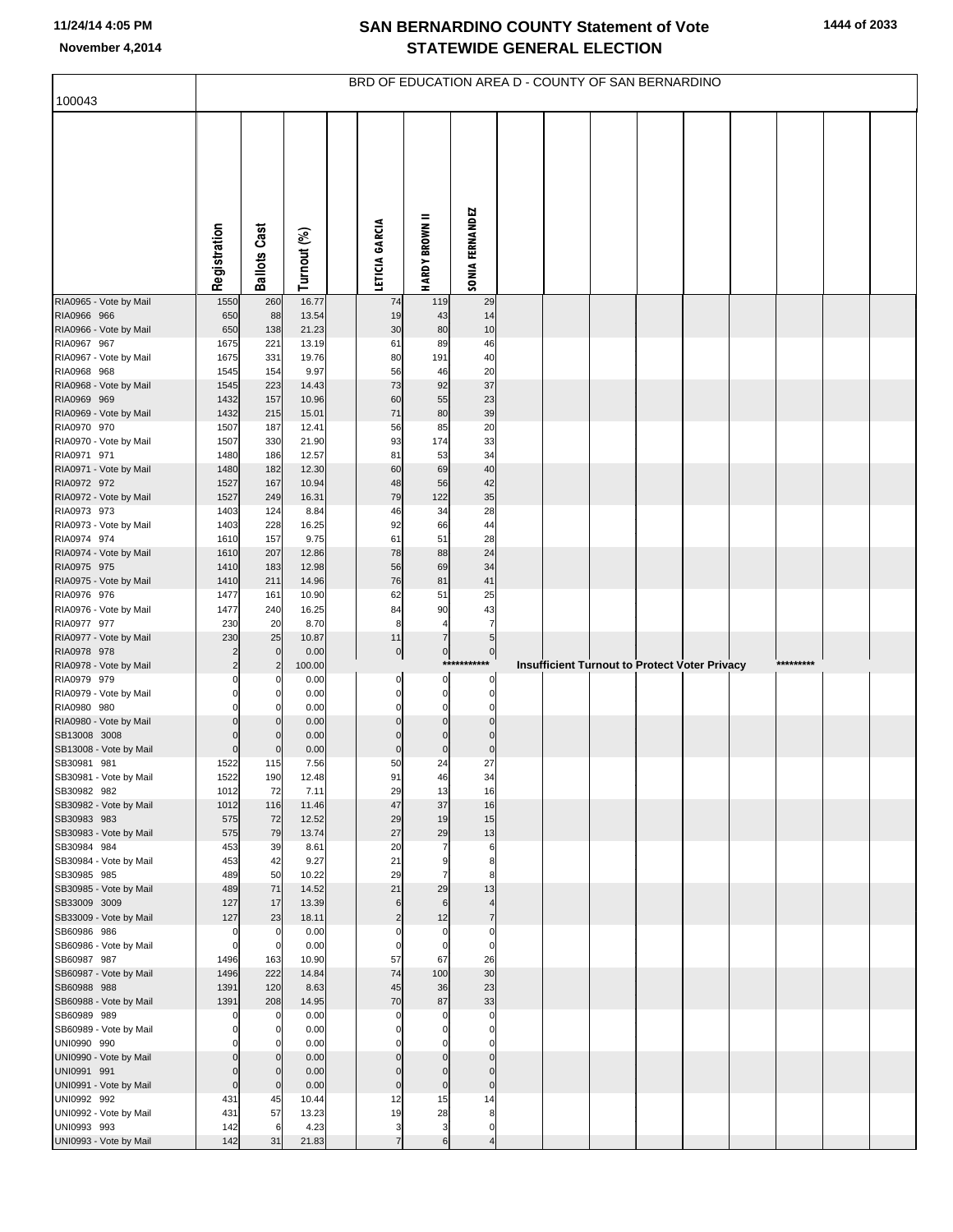|                                        |                            |                     |                | BRD OF EDUCATION AREA D - COUNTY OF SAN BERNARDINO |                          |                            |  |  |                                                      |           |  |
|----------------------------------------|----------------------------|---------------------|----------------|----------------------------------------------------|--------------------------|----------------------------|--|--|------------------------------------------------------|-----------|--|
| 100043                                 |                            |                     |                |                                                    |                          |                            |  |  |                                                      |           |  |
|                                        | Registration               | <b>Ballots Cast</b> | Turnout (%)    | LETICIA GARCIA                                     | =<br><b>HARDY BROWN</b>  | <b>SONIA FERNANDEZ</b>     |  |  |                                                      |           |  |
| RIA0965 - Vote by Mail                 | 1550                       | 260                 | 16.77          | 74                                                 | 119                      | 29                         |  |  |                                                      |           |  |
| RIA0966 966<br>RIA0966 - Vote by Mail  | 650<br>650                 | 88<br>138           | 13.54<br>21.23 | 19<br>30                                           | 43<br>80                 | 14<br>10                   |  |  |                                                      |           |  |
| RIA0967 967                            | 1675                       | 221                 | 13.19          | 61                                                 | 89                       | 46                         |  |  |                                                      |           |  |
| RIA0967 - Vote by Mail                 | 1675                       | 331                 | 19.76          | 80                                                 | 191                      | 40                         |  |  |                                                      |           |  |
| RIA0968 968                            | 1545                       | 154                 | 9.97           | 56                                                 | 46                       | 20                         |  |  |                                                      |           |  |
| RIA0968 - Vote by Mail<br>RIA0969 969  | 1545                       | 223                 | 14.43          | 73                                                 | 92                       | 37                         |  |  |                                                      |           |  |
| RIA0969 - Vote by Mail                 | 1432<br>1432               | 157<br>215          | 10.96<br>15.01 | 60<br>71                                           | 55<br>80                 | 23<br>39                   |  |  |                                                      |           |  |
| RIA0970 970                            | 1507                       | 187                 | 12.41          | 56                                                 | 85                       | 20                         |  |  |                                                      |           |  |
| RIA0970 - Vote by Mail                 | 1507                       | 330                 | 21.90          | 93                                                 | 174                      | 33                         |  |  |                                                      |           |  |
| RIA0971 971                            | 1480                       | 186                 | 12.57          | 81                                                 | 53                       | 34                         |  |  |                                                      |           |  |
| RIA0971 - Vote by Mail<br>RIA0972 972  | 1480<br>1527               | 182<br>167          | 12.30<br>10.94 | 60<br>48                                           | 69<br>56                 | 40<br>42                   |  |  |                                                      |           |  |
| RIA0972 - Vote by Mail                 | 1527                       | 249                 | 16.31          | 79                                                 | 122                      | 35                         |  |  |                                                      |           |  |
| RIA0973 973                            | 1403                       | 124                 | 8.84           | 46                                                 | 34                       | 28                         |  |  |                                                      |           |  |
| RIA0973 - Vote by Mail                 | 1403                       | 228                 | 16.25          | 92                                                 | 66                       | 44                         |  |  |                                                      |           |  |
| RIA0974 974<br>RIA0974 - Vote by Mail  | 1610<br>1610               | 157<br>207          | 9.75<br>12.86  | 61<br>78                                           | 51<br>88                 | 28<br>24                   |  |  |                                                      |           |  |
| RIA0975 975                            | 1410                       | 183                 | 12.98          | 56                                                 | 69                       | 34                         |  |  |                                                      |           |  |
| RIA0975 - Vote by Mail                 | 1410                       | 211                 | 14.96          | 76                                                 | 81                       | 41                         |  |  |                                                      |           |  |
| RIA0976 976                            | 1477                       | 161                 | 10.90          | 62                                                 | 51                       | 25                         |  |  |                                                      |           |  |
| RIA0976 - Vote by Mail<br>RIA0977 977  | 1477<br>230                | 240<br>20           | 16.25<br>8.70  | 84<br>8                                            | 90<br>$\overline{4}$     | 43<br>$\overline{7}$       |  |  |                                                      |           |  |
| RIA0977 - Vote by Mail                 | 230                        | 25                  | 10.87          | 11                                                 | $\overline{7}$           | 5                          |  |  |                                                      |           |  |
| RIA0978 978                            | 2                          | $\mathbf 0$         | 0.00           | $\overline{0}$                                     | 0                        | $\pmb{0}$                  |  |  |                                                      |           |  |
| RIA0978 - Vote by Mail                 | $\overline{2}$             | 2                   | 100.00         |                                                    |                          | *****<br>$\mathbf 0$       |  |  | <b>Insufficient Turnout to Protect Voter Privacy</b> | ********* |  |
| RIA0979 979<br>RIA0979 - Vote by Mail  | 0<br>$\Omega$              | C                   | 0.00<br>0.00   | 0<br>$\pmb{0}$                                     | $\pmb{0}$<br>$\pmb{0}$   | $\mathbf 0$                |  |  |                                                      |           |  |
| RIA0980 980                            | $\Omega$                   |                     | 0.00           | 0                                                  | $\mathbf 0$              | $\mathbf 0$                |  |  |                                                      |           |  |
| RIA0980 - Vote by Mail                 | $\Omega$                   |                     | 0.00           | $\mathbf 0$                                        | $\mathbf 0$              | $\Omega$                   |  |  |                                                      |           |  |
| SB13008 3008<br>SB13008 - Vote by Mail | $\Omega$<br>$\mathbf 0$    | $\mathcal{C}$       | 0.00<br>0.00   | 0<br>$\mathbf 0$                                   | $\mathbf 0$<br>$\bf 0$   | $\mathbf 0$<br>$\pmb{0}$   |  |  |                                                      |           |  |
| SB30981 981                            | 1522                       | 115                 | 7.56           | 50                                                 | 24                       | 27                         |  |  |                                                      |           |  |
| SB30981 - Vote by Mail                 | 1522                       | 190                 | 12.48          | 91                                                 | 46                       | 34                         |  |  |                                                      |           |  |
| SB30982 982                            | 1012                       | 72                  | 7.11           | 29                                                 | 13                       | 16                         |  |  |                                                      |           |  |
| SB30982 - Vote by Mail<br>SB30983 983  | 1012<br>575                | 116<br>72           | 11.46<br>12.52 | 47<br>29                                           | 37<br>19                 | 16<br>15                   |  |  |                                                      |           |  |
| SB30983 - Vote by Mail                 | 575                        | 79                  | 13.74          | 27                                                 | 29                       | 13                         |  |  |                                                      |           |  |
| SB30984 984                            | 453                        | 39                  | 8.61           | 20                                                 | $\overline{7}$           | 6                          |  |  |                                                      |           |  |
| SB30984 - Vote by Mail                 | 453                        | 42                  | 9.27           | 21                                                 | 9                        | 8                          |  |  |                                                      |           |  |
| SB30985 985<br>SB30985 - Vote by Mail  | 489<br>489                 | 50<br>71            | 10.22<br>14.52 | 29<br>21                                           | $\overline{7}$<br>29     | 8<br>13                    |  |  |                                                      |           |  |
| SB33009 3009                           | 127                        | 17                  | 13.39          | 6                                                  | 6                        | $\overline{4}$             |  |  |                                                      |           |  |
| SB33009 - Vote by Mail                 | 127                        | 23                  | 18.11          | $\overline{2}$                                     | 12                       | $\overline{7}$             |  |  |                                                      |           |  |
| SB60986 986<br>SB60986 - Vote by Mail  | $\mathbf 0$<br>$\mathbf 0$ | 0<br>$\mathbf 0$    | 0.00           | $\mathbf 0$<br>$\mathbf 0$                         | $\pmb{0}$<br>$\mathbf 0$ | $\mathbf 0$<br>$\mathbf 0$ |  |  |                                                      |           |  |
| SB60987 987                            | 1496                       | 163                 | 0.00<br>10.90  | 57                                                 | 67                       | 26                         |  |  |                                                      |           |  |
| SB60987 - Vote by Mail                 | 1496                       | 222                 | 14.84          | 74                                                 | 100                      | 30                         |  |  |                                                      |           |  |
| SB60988 988                            | 1391                       | 120                 | 8.63           | 45                                                 | 36                       | 23                         |  |  |                                                      |           |  |
| SB60988 - Vote by Mail                 | 1391                       | 208                 | 14.95          | 70                                                 | 87                       | 33                         |  |  |                                                      |           |  |
| SB60989 989<br>SB60989 - Vote by Mail  | 0<br>$\Omega$              | C<br>$\Omega$       | 0.00<br>0.00   | 0<br>$\mathbf 0$                                   | $\Omega$<br>$\mathbf 0$  | $\mathbf 0$<br>$\mathbf 0$ |  |  |                                                      |           |  |
| UNI0990 990                            | $\Omega$                   | C                   | 0.00           | $\Omega$                                           | $\Omega$                 | $\mathbf 0$                |  |  |                                                      |           |  |
| UNI0990 - Vote by Mail                 | $\mathbf 0$                | $\Omega$            | 0.00           | $\mathbf 0$                                        | $\mathbf 0$              | $\Omega$                   |  |  |                                                      |           |  |
| UNI0991 991                            | $\Omega$                   | $\Omega$            | 0.00           | $\mathbf 0$                                        | $\mathbf 0$              | $\mathbf 0$                |  |  |                                                      |           |  |
| UNI0991 - Vote by Mail<br>UNI0992 992  | $\mathbf 0$<br>431         | $\mathbf 0$<br>45   | 0.00<br>10.44  | $\pmb{0}$<br>12                                    | $\mathbf 0$<br>15        | $\mathbf 0$<br>14          |  |  |                                                      |           |  |
| UNI0992 - Vote by Mail                 | 431                        | 57                  | 13.23          | 19                                                 | 28                       | 8                          |  |  |                                                      |           |  |
| UNI0993 993                            | 142                        | 6                   | 4.23           | 3                                                  | 3                        | $\mathbf 0$                |  |  |                                                      |           |  |
| UNI0993 - Vote by Mail                 | 142                        | 31                  | 21.83          | 7                                                  | 6                        | $\overline{4}$             |  |  |                                                      |           |  |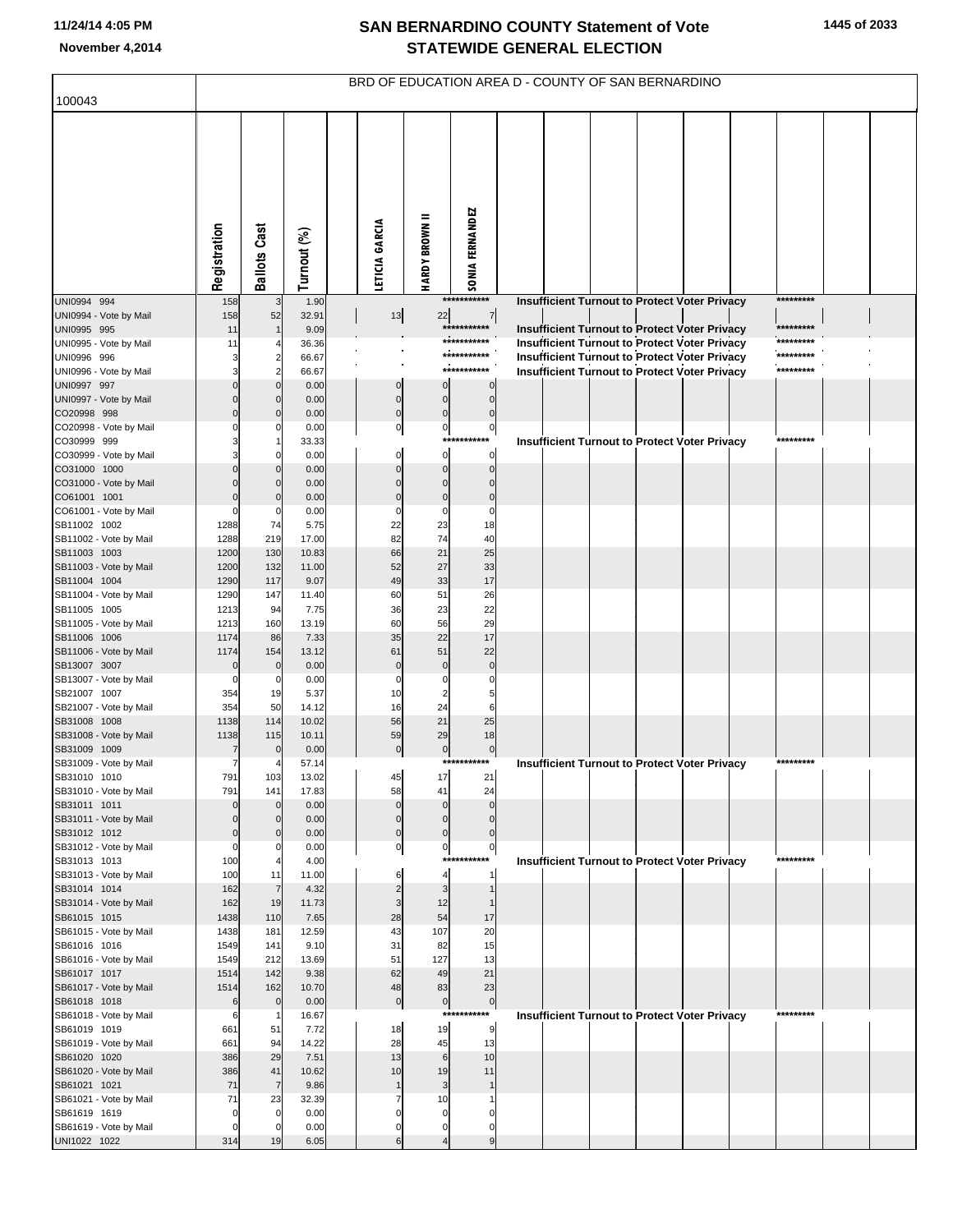|                                        |              |                      |                |                             | BRD OF EDUCATION AREA D - COUNTY OF SAN BERNARDINO |                               |  |  |                                                      |           |  |
|----------------------------------------|--------------|----------------------|----------------|-----------------------------|----------------------------------------------------|-------------------------------|--|--|------------------------------------------------------|-----------|--|
| 100043                                 |              |                      |                |                             |                                                    |                               |  |  |                                                      |           |  |
|                                        | Registration | <b>Ballots Cast</b>  | Turnout (%)    | LETICIA GARCIA              | <b>HARDY BROWN II</b>                              | SONIA FERNANDEZ               |  |  |                                                      |           |  |
| UNI0994 994                            | 158          | 3                    | 1.90           |                             |                                                    | ***********                   |  |  | Insufficient Turnout to Protect Voter Privacy        | ********* |  |
| UNI0994 - Vote by Mail<br>UNI0995 995  | 158<br>11    | 52                   | 32.91<br>9.09  | $13$                        | 22                                                 | $\overline{7}$<br>*********** |  |  | <b>Insufficient Turnout to Protect Voter Privacy</b> | ********* |  |
| UNI0995 - Vote by Mail                 | 11           |                      | 36.36          |                             |                                                    | ***********                   |  |  | Insufficient Turnout to Protect Voter Privacy        | ********* |  |
| UNI0996 996                            |              | $\overline{2}$       | 66.67          |                             |                                                    | ***********                   |  |  | <b>Insufficient Turnout to Protect Voter Privacy</b> | ********* |  |
| UNI0996 - Vote by Mail                 |              | $\overline{2}$       | 66.67          |                             |                                                    | ***********                   |  |  | <b>Insufficient Turnout to Protect Voter Privacy</b> | ********* |  |
| UNI0997 997                            |              | $\mathbf 0$          | 0.00           | $\mathbf 0$                 | $\mathbf 0$                                        | 0                             |  |  |                                                      |           |  |
| UNI0997 - Vote by Mail                 |              | $\mathsf{C}$         | 0.00           | $\pmb{0}$                   | $\mathbf 0$                                        | $\Omega$                      |  |  |                                                      |           |  |
| CO20998 998<br>CO20998 - Vote by Mail  |              | $\mathcal{C}$<br>C   | 0.00<br>0.00   | $\pmb{0}$<br>$\overline{0}$ | $\pmb{0}$<br>$\overline{0}$                        | $\mathbf 0$<br>$\mathbf 0$    |  |  |                                                      |           |  |
| CO30999 999                            |              |                      | 33.33          |                             | $***$                                              | ******                        |  |  | <b>Insufficient Turnout to Protect Voter Privacy</b> | ********* |  |
| CO30999 - Vote by Mail                 |              | C                    | 0.00           | 0                           | 0                                                  | 0                             |  |  |                                                      |           |  |
| CO31000 1000                           |              | $\mathcal{C}$        | 0.00           | $\mathbf 0$                 | $\mathbf 0$                                        | $\Omega$                      |  |  |                                                      |           |  |
| CO31000 - Vote by Mail                 |              | $\mathsf{C}$         | 0.00           |                             | $\mathbf 0$                                        |                               |  |  |                                                      |           |  |
| CO61001 1001                           |              | $\mathsf{C}$         | 0.00           | $\mathbf 0$                 | $\mathbf 0$                                        | $\mathbf 0$                   |  |  |                                                      |           |  |
| CO61001 - Vote by Mail<br>SB11002 1002 | 1288         | C<br>74              | 0.00<br>5.75   | $\Omega$<br>22              | $\mathbf 0$<br>23                                  | 0<br>18                       |  |  |                                                      |           |  |
| SB11002 - Vote by Mail                 | 1288         | 219                  | 17.00          | 82                          | 74                                                 | 40                            |  |  |                                                      |           |  |
| SB11003 1003                           | 1200         | 130                  | 10.83          | 66                          | 21                                                 | 25                            |  |  |                                                      |           |  |
| SB11003 - Vote by Mail                 | 1200         | 132                  | 11.00          | 52                          | 27                                                 | 33                            |  |  |                                                      |           |  |
| SB11004 1004                           | 1290         | 117                  | 9.07           | 49                          | 33                                                 | 17                            |  |  |                                                      |           |  |
| SB11004 - Vote by Mail<br>SB11005 1005 | 1290<br>1213 | 147<br>94            | 11.40<br>7.75  | 60<br>36                    | 51<br>23                                           | 26<br>22                      |  |  |                                                      |           |  |
| SB11005 - Vote by Mail                 | 1213         | 160                  | 13.19          | 60                          | 56                                                 | 29                            |  |  |                                                      |           |  |
| SB11006 1006                           | 1174         | 86                   | 7.33           | 35                          | 22                                                 | 17                            |  |  |                                                      |           |  |
| SB11006 - Vote by Mail                 | 1174         | 154                  | 13.12          | 61                          | 51                                                 | 22                            |  |  |                                                      |           |  |
| SB13007 3007                           |              | $\mathsf{C}$         | 0.00           | $\mathbf 0$                 | $\mathbf 0$                                        |                               |  |  |                                                      |           |  |
| SB13007 - Vote by Mail                 |              | C                    | 0.00           | $\Omega$                    | 0                                                  |                               |  |  |                                                      |           |  |
| SB21007 1007<br>SB21007 - Vote by Mail | 354<br>354   | 19<br>50             | 5.37<br>14.12  | 10<br>16                    | $\overline{2}$<br>24                               | 5<br>6                        |  |  |                                                      |           |  |
| SB31008 1008                           | 1138         | 114                  | 10.02          | 56                          | 21                                                 | 25                            |  |  |                                                      |           |  |
| SB31008 - Vote by Mail                 | 1138         | 115                  | 10.11          | 59                          | 29                                                 | 18                            |  |  |                                                      |           |  |
| SB31009 1009                           |              | C                    | 0.00           | $\pmb{0}$                   | $\bf 0$                                            | $\bf{0}$                      |  |  |                                                      |           |  |
| SB31009 - Vote by Mail                 | 7            |                      | 57.14          |                             |                                                    | ***********                   |  |  | <b>Insufficient Turnout to Protect Voter Privacy</b> | ********* |  |
| SB31010 1010<br>SB31010 - Vote by Mail | 791<br>791   | 103<br>141           | 13.02<br>17.83 | 45<br>58                    | 17<br>41                                           | 21<br>24                      |  |  |                                                      |           |  |
| SB31011 1011                           | $\Omega$     | $\mathbf 0$          | 0.00           | $\mathbf 0$                 | $\mathbf 0$                                        | $\Omega$                      |  |  |                                                      |           |  |
| SB31011 - Vote by Mail                 |              | $\mathbf 0$          | 0.00           | $\mathbf 0$                 | $\mathbf 0$                                        | $\mathbf 0$                   |  |  |                                                      |           |  |
| SB31012 1012                           | $\Omega$     | $\mathbf 0$          | 0.00           | $\pmb{0}$                   | $\mathbf 0$                                        | $\mathbf 0$                   |  |  |                                                      |           |  |
| SB31012 - Vote by Mail                 | $\Omega$     | C                    | 0.00           | $\overline{0}$              | $\overline{0}$<br>$***$                            | $\pmb{0}$<br>*****            |  |  |                                                      | ********* |  |
| SB31013 1013<br>SB31013 - Vote by Mail | 100<br>100   | $\overline{4}$<br>11 | 4.00<br>11.00  | 6                           | $\overline{\mathbf{4}}$                            | 1                             |  |  | <b>Insufficient Turnout to Protect Voter Privacy</b> |           |  |
| SB31014 1014                           | 162          | $\overline{7}$       | 4.32           | $\overline{2}$              | 3                                                  | $\mathbf{1}$                  |  |  |                                                      |           |  |
| SB31014 - Vote by Mail                 | 162          | 19                   | 11.73          | 3                           | 12                                                 | $\mathbf{1}$                  |  |  |                                                      |           |  |
| SB61015 1015                           | 1438         | 110                  | 7.65           | 28                          | 54                                                 | 17                            |  |  |                                                      |           |  |
| SB61015 - Vote by Mail                 | 1438         | 181                  | 12.59          | 43                          | 107                                                | 20                            |  |  |                                                      |           |  |
| SB61016 1016<br>SB61016 - Vote by Mail | 1549<br>1549 | 141<br>212           | 9.10<br>13.69  | 31<br>51                    | 82<br>127                                          | 15<br>13                      |  |  |                                                      |           |  |
| SB61017 1017                           | 1514         | 142                  | 9.38           | 62                          | 49                                                 | 21                            |  |  |                                                      |           |  |
| SB61017 - Vote by Mail                 | 1514         | 162                  | 10.70          | 48                          | 83                                                 | 23                            |  |  |                                                      |           |  |
| SB61018 1018                           | 6            | $\mathbf 0$          | 0.00           | $\pmb{0}$                   | $\overline{0}$                                     | $\mathbf{0}$                  |  |  |                                                      |           |  |
| SB61018 - Vote by Mail                 | 6            | -1                   | 16.67          |                             |                                                    | ***********                   |  |  | <b>Insufficient Turnout to Protect Voter Privacy</b> | ********* |  |
| SB61019 1019                           | 661          | 51                   | 7.72           | 18                          | 19                                                 | 9                             |  |  |                                                      |           |  |
| SB61019 - Vote by Mail<br>SB61020 1020 | 661<br>386   | 94<br>29             | 14.22<br>7.51  | 28<br>13                    | 45<br>$6\phantom{1}$                               | 13<br>10                      |  |  |                                                      |           |  |
| SB61020 - Vote by Mail                 | 386          | 41                   | 10.62          | 10                          | 19                                                 | 11                            |  |  |                                                      |           |  |
| SB61021 1021                           | 71           | $\overline{7}$       | 9.86           | $\mathbf 1$                 | 3                                                  | $\mathbf{1}$                  |  |  |                                                      |           |  |
| SB61021 - Vote by Mail                 | 71           | 23                   | 32.39          |                             | 10                                                 |                               |  |  |                                                      |           |  |
| SB61619 1619                           | 0            | $\mathbf 0$          | 0.00           | $\Omega$                    | 0                                                  | 0                             |  |  |                                                      |           |  |
| SB61619 - Vote by Mail<br>UNI1022 1022 | 0<br>314     | 0<br>19              | 0.00<br>6.05   | 0                           | 0                                                  | 0                             |  |  |                                                      |           |  |
|                                        |              |                      |                |                             |                                                    |                               |  |  |                                                      |           |  |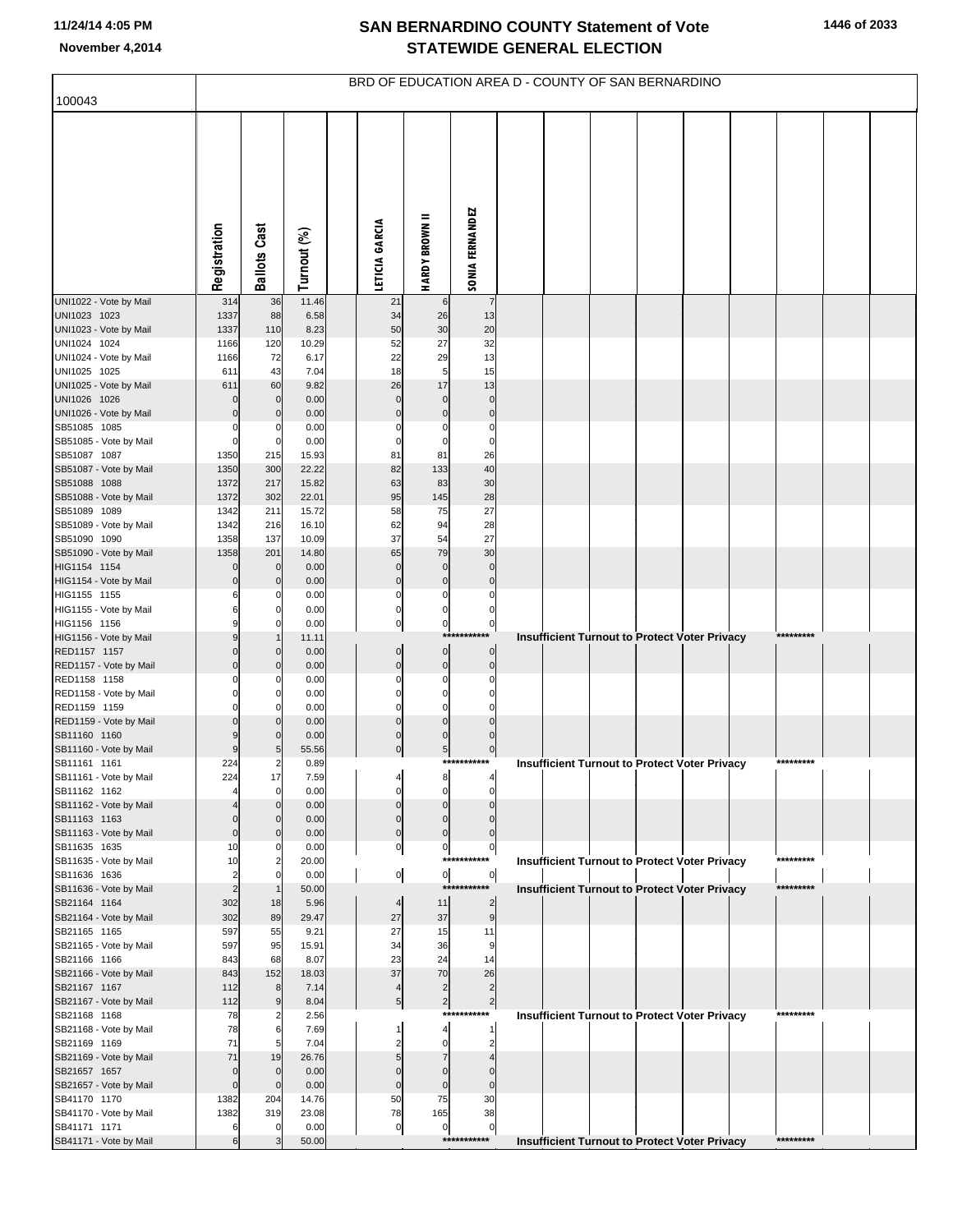|                                        |                            |                              |                |                          |                               |                                        | BRD OF EDUCATION AREA D - COUNTY OF SAN BERNARDINO                |
|----------------------------------------|----------------------------|------------------------------|----------------|--------------------------|-------------------------------|----------------------------------------|-------------------------------------------------------------------|
| 100043                                 |                            |                              |                |                          |                               |                                        |                                                                   |
|                                        | Registration               | <b>Ballots Cast</b>          | Turnout (%)    | LETICIA GARCIA           | <b>HARDY BROWN II</b>         | <b>SONIA FERNANDEZ</b>                 |                                                                   |
| UNI1022 - Vote by Mail                 | 314                        | 36                           | 11.46          | 21                       | 6                             | $\overline{7}$                         |                                                                   |
| UNI1023 1023<br>UNI1023 - Vote by Mail | 1337<br>1337               | 88<br>110                    | 6.58<br>8.23   | 34<br>50                 | 26<br>30                      | 13<br>20                               |                                                                   |
| UNI1024 1024                           | 1166                       | 120                          | 10.29          | 52                       | 27                            | 32                                     |                                                                   |
| UNI1024 - Vote by Mail                 | 1166                       | 72                           | 6.17           | 22                       | 29                            | 13                                     |                                                                   |
| UNI1025 1025<br>UNI1025 - Vote by Mail | 611<br>611                 | 43<br>60                     | 7.04<br>9.82   | 18<br>26                 | 5<br>17                       | 15<br>13                               |                                                                   |
| UNI1026 1026                           | 0                          | $\mathbf 0$                  | 0.00           | $\mathbf 0$              | $\mathbf 0$                   | $\pmb{0}$                              |                                                                   |
| UNI1026 - Vote by Mail                 | $\Omega$                   | $\mathbf 0$                  | 0.00           | $\mathbf 0$              | $\mathbf 0$                   | $\pmb{0}$                              |                                                                   |
| SB51085 1085                           | $\Omega$                   | $\Omega$                     | 0.00           | $\Omega$                 | 0                             | $\mathbf 0$                            |                                                                   |
| SB51085 - Vote by Mail                 | $\mathbf 0$                | $\mathbf 0$                  | 0.00           | $\mathbf 0$              | $\mathbf 0$                   | $\mathbf 0$                            |                                                                   |
| SB51087 1087<br>SB51087 - Vote by Mail | 1350<br>1350               | 215<br>300                   | 15.93<br>22.22 | 81<br>82                 | 81<br>133                     | 26<br>40                               |                                                                   |
| SB51088 1088                           | 1372                       | 217                          | 15.82          | 63                       | 83                            | 30                                     |                                                                   |
| SB51088 - Vote by Mail                 | 1372                       | 302                          | 22.01          | 95                       | 145                           | 28                                     |                                                                   |
| SB51089 1089                           | 1342                       | 211                          | 15.72          | 58                       | 75                            | 27                                     |                                                                   |
| SB51089 - Vote by Mail<br>SB51090 1090 | 1342<br>1358               | 216<br>137                   | 16.10<br>10.09 | 62<br>37                 | 94<br>54                      | 28<br>27                               |                                                                   |
| SB51090 - Vote by Mail                 | 1358                       | 201                          | 14.80          | 65                       | 79                            | 30                                     |                                                                   |
| HIG1154 1154                           | $\Omega$                   | $\mathbf 0$                  | 0.00           | $\bf{0}$                 | $\bf 0$                       | $\mathbf 0$                            |                                                                   |
| HIG1154 - Vote by Mail                 | $\Omega$                   | $\mathbf 0$                  | 0.00           | $\pmb{0}$                | $\mathbf 0$                   | $\pmb{0}$                              |                                                                   |
| HIG1155 1155<br>HIG1155 - Vote by Mail | 6<br>6                     | 0<br>0                       | 0.00<br>0.00   | $\mathbf 0$<br>$\pmb{0}$ | $\mathbf 0$<br>$\mathbf 0$    | $\mathbf 0$<br>$\mathbf 0$             |                                                                   |
| HIG1156 1156                           | 9                          | O                            | 0.00           | $\pmb{0}$                | $\overline{0}$                | $\pmb{0}$                              |                                                                   |
| HIG1156 - Vote by Mail                 | 9                          |                              | 11.11          |                          |                               | ***********                            | *********<br><b>Insufficient Turnout to Protect Voter Privacy</b> |
| RED1157 1157                           | $\Omega$                   | $\Omega$                     | 0.00           | $\mathbf 0$              | $\overline{0}$                | $\pmb{0}$                              |                                                                   |
| RED1157 - Vote by Mail<br>RED1158 1158 | $\Omega$<br>ŋ              | $\Omega$<br>0                | 0.00<br>0.00   | $\pmb{0}$<br>0           | $\pmb{0}$<br>0                | $\mathbf 0$<br>C                       |                                                                   |
| RED1158 - Vote by Mail                 | $\Omega$                   | 0                            | 0.00           | $\mathbf 0$              | $\mathbf 0$                   | $\Omega$                               |                                                                   |
| RED1159 1159                           | $\Omega$                   | n                            | 0.00           | $\Omega$                 | $\mathbf 0$                   | $\mathfrak{o}$                         |                                                                   |
| RED1159 - Vote by Mail                 | $\Omega$                   | n                            | 0.00           | $\mathbf 0$              | $\mathbf 0$                   | C                                      |                                                                   |
| SB11160 1160<br>SB11160 - Vote by Mail | 9<br>9                     | 5                            | 0.00<br>55.56  | $\Omega$<br>$\pmb{0}$    | $\mathbf 0$<br>$\overline{5}$ | $\Omega$<br>$\pmb{0}$                  |                                                                   |
| SB11161 1161                           | 224                        | 2                            | 0.89           |                          |                               | ***********                            | *********<br><b>Insufficient Turnout to Protect Voter Privacy</b> |
| SB11161 - Vote by Mail                 | 224                        | 17                           | 7.59           |                          |                               |                                        |                                                                   |
| SB11162 1162                           |                            | $\mathbf 0$                  | 0.00           | $\Omega$                 | $\mathbf 0$                   | C                                      |                                                                   |
| SB11162 - Vote by Mail<br>SB11163 1163 | $\Omega$                   | $\Omega$<br>$\Omega$         | 0.00<br>0.00   | $\Omega$<br>$\Omega$     | $\mathbf 0$<br>$\mathbf 0$    | $\mathsf{C}$                           |                                                                   |
| SB11163 - Vote by Mail                 | $\mathbf 0$                | $\mathbf 0$                  | 0.00           | $\mathbf 0$              | $\pmb{0}$                     | $\mathbf 0$                            |                                                                   |
| SB11635 1635                           | 10                         | 0                            | 0.00           | $\mathbf 0$              | $\overline{0}$                | $\pmb{0}$                              |                                                                   |
| SB11635 - Vote by Mail<br>SB11636 1636 | 10<br>$\overline{2}$       | $\overline{2}$<br>$\Omega$   | 20.00<br>0.00  |                          | $\overline{0}$                | ***********<br>$\overline{0}$          | *********<br><b>Insufficient Turnout to Protect Voter Privacy</b> |
| SB11636 - Vote by Mail                 | $\overline{c}$             |                              | 50.00          | $\overline{0}$           |                               | ***********                            | *********<br><b>Insufficient Turnout to Protect Voter Privacy</b> |
| SB21164 1164                           | 302                        | 18                           | 5.96           | $\overline{4}$           | 11                            | $\overline{2}$                         |                                                                   |
| SB21164 - Vote by Mail                 | 302                        | 89                           | 29.47          | 27                       | 37                            | 9                                      |                                                                   |
| SB21165 1165<br>SB21165 - Vote by Mail | 597<br>597                 | 55<br>95                     | 9.21<br>15.91  | 27<br>34                 | 15<br>36                      | 11<br>9                                |                                                                   |
| SB21166 1166                           | 843                        | 68                           | 8.07           | 23                       | 24                            | 14                                     |                                                                   |
| SB21166 - Vote by Mail                 | 843                        | 152                          | 18.03          | 37                       | 70                            | 26                                     |                                                                   |
| SB21167 1167                           | 112                        | 8                            | 7.14           | $\overline{4}$           | $\overline{\mathbf{c}}$       | $\overline{2}$                         |                                                                   |
| SB21167 - Vote by Mail<br>SB21168 1168 | 112<br>78                  | 9<br>2                       | 8.04<br>2.56   | 5                        | $\overline{2}$                | $\overline{\mathbf{c}}$<br>*********** | *********                                                         |
| SB21168 - Vote by Mail                 | 78                         | 6                            | 7.69           | 1                        | 4                             | -1                                     | <b>Insufficient Turnout to Protect Voter Privacy</b>              |
| SB21169 1169                           | 71                         | 5                            | 7.04           |                          | $\Omega$                      | $\overline{2}$                         |                                                                   |
| SB21169 - Vote by Mail                 | 71                         | 19                           | 26.76          | 5                        | $\overline{7}$                |                                        |                                                                   |
| SB21657 1657<br>SB21657 - Vote by Mail | $\mathbf 0$<br>$\mathbf 0$ | $\mathbf{0}$<br>$\mathbf{0}$ | 0.00<br>0.00   | $\Omega$<br>$\mathbf 0$  | $\Omega$<br>$\mathbf 0$       | $\Omega$<br>$\mathbf 0$                |                                                                   |
| SB41170 1170                           | 1382                       | 204                          | 14.76          | 50                       | 75                            | 30                                     |                                                                   |
| SB41170 - Vote by Mail                 | 1382                       | 319                          | 23.08          | 78                       | 165                           | 38                                     |                                                                   |
| SB41171 1171                           | 6                          | $\mathbf 0$                  | 0.00           | $\overline{0}$           | $\pmb{0}$                     | $\bf 0$                                | *********                                                         |
| SB41171 - Vote by Mail                 | 6                          | 3                            | 50.00          |                          |                               | ***********                            | <b>Insufficient Turnout to Protect Voter Privacy</b>              |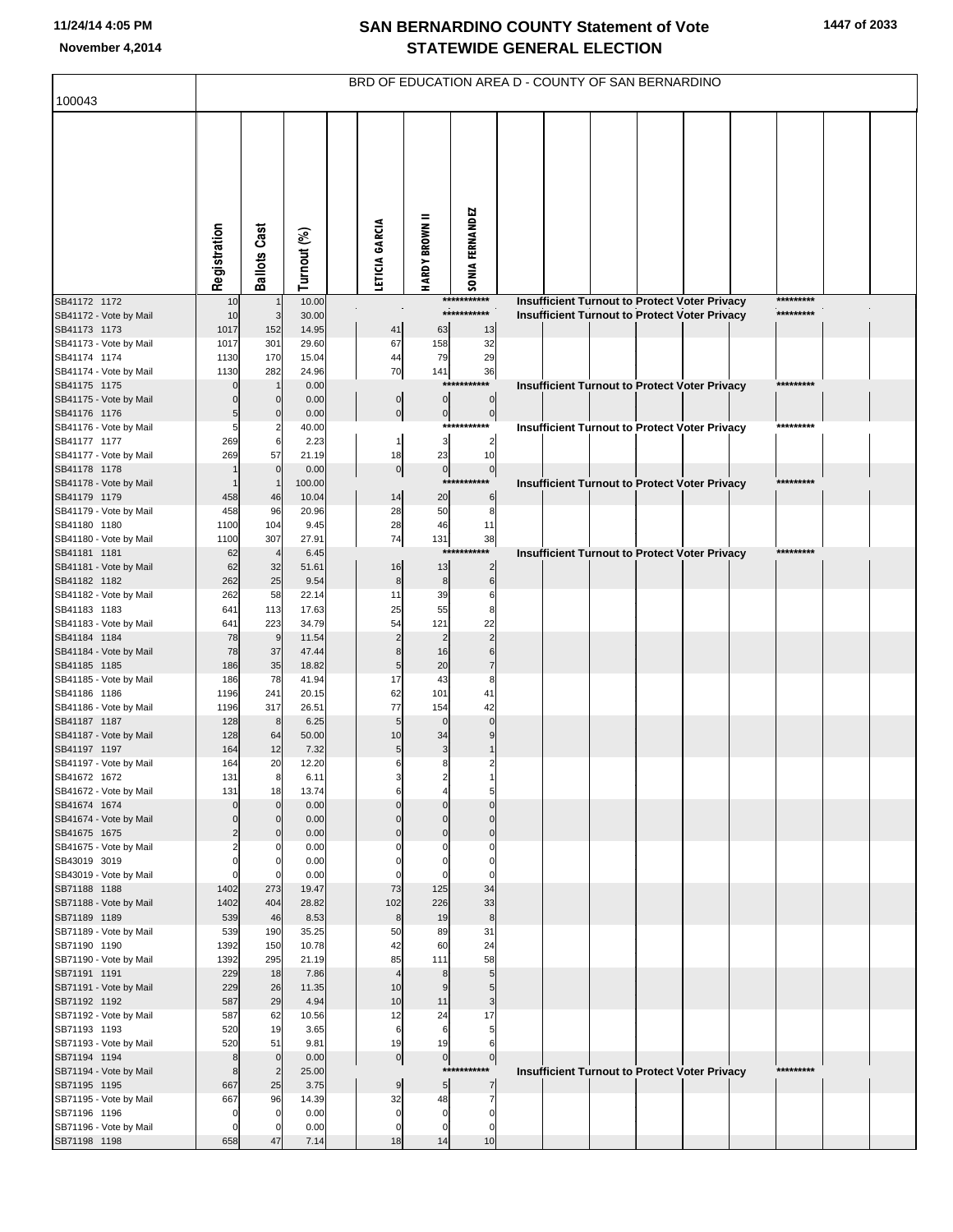|                                        |                                  |                            |                |                                      |                             | BRD OF EDUCATION AREA D - COUNTY OF SAN BERNARDINO |  |  |                                                      |                        |  |
|----------------------------------------|----------------------------------|----------------------------|----------------|--------------------------------------|-----------------------------|----------------------------------------------------|--|--|------------------------------------------------------|------------------------|--|
| 100043                                 |                                  |                            |                |                                      |                             |                                                    |  |  |                                                      |                        |  |
|                                        | Registration                     | <b>Ballots Cast</b>        | Turnout (%)    | LETICIA GARCIA                       | <b>HARDY BROWN II</b>       | SONIA FERNANDEZ                                    |  |  |                                                      |                        |  |
| SB41172 1172                           | 10                               | $\overline{1}$             | 10.00          |                                      |                             | ***********<br>***********                         |  |  | <b>Insufficient Turnout to Protect Voter Privacy</b> | *********<br>********* |  |
| SB41172 - Vote by Mail<br>SB41173 1173 | 10<br>1017                       | 3<br>152                   | 30.00<br>14.95 | 41                                   | 63                          | 13                                                 |  |  | Insufficient Turnout to Protect Voter Privacy        |                        |  |
| SB41173 - Vote by Mail                 | 1017                             | 301                        | 29.60          | 67                                   | 158                         | 32                                                 |  |  |                                                      |                        |  |
| SB41174 1174                           | 1130                             | 170                        | 15.04          | 44                                   | 79                          | 29                                                 |  |  |                                                      |                        |  |
| SB41174 - Vote by Mail                 | 1130                             | 282                        | 24.96          | 70                                   | 141                         | 36                                                 |  |  |                                                      |                        |  |
| SB41175 1175                           | $\Omega$                         |                            | 0.00           |                                      |                             | *******                                            |  |  | <b>Insufficient Turnout to Protect Voter Privacy</b> | *********              |  |
| SB41175 - Vote by Mail<br>SB41176 1176 | $\Omega$<br>5                    | $\mathbf 0$<br>$\mathbf 0$ | 0.00<br>0.00   | $\begin{matrix} 0 \\ 0 \end{matrix}$ | $\pmb{0}$<br>$\overline{0}$ | $\overline{0}$<br>$\overline{0}$                   |  |  |                                                      |                        |  |
| SB41176 - Vote by Mail                 | 5                                | $\overline{2}$             | 40.00          |                                      | ***                         | ******                                             |  |  | Insufficient Turnout to Protect Voter Privacy        | *********              |  |
| SB41177 1177                           | 269                              | 6                          | 2.23           | $\mathbf{1}$                         | $\mathbf{3}$                | $\overline{\mathbf{c}}$                            |  |  |                                                      |                        |  |
| SB41177 - Vote by Mail                 | 269                              | 57                         | 21.19          | 18                                   | 23                          | 10                                                 |  |  |                                                      |                        |  |
| SB41178 1178                           |                                  | $\overline{0}$             | 0.00           | 0                                    | $\overline{0}$              | $\mathbf{0}$                                       |  |  |                                                      |                        |  |
| SB41178 - Vote by Mail                 |                                  | $\overline{1}$             | 100.00         |                                      | ***                         |                                                    |  |  | <b>Insufficient Turnout to Protect Voter Privacy</b> | *********              |  |
| SB41179 1179<br>SB41179 - Vote by Mail | 458<br>458                       | 46<br>96                   | 10.04<br>20.96 | 14<br>28                             | 20<br>50                    | $\,6$<br>8                                         |  |  |                                                      |                        |  |
| SB41180 1180                           | 1100                             | 104                        | 9.45           | 28                                   | 46                          | 11                                                 |  |  |                                                      |                        |  |
| SB41180 - Vote by Mail                 | 1100                             | 307                        | 27.91          | 74                                   | 131                         | 38                                                 |  |  |                                                      |                        |  |
| SB41181 1181                           | 62                               | $\overline{4}$             | 6.45           |                                      | **:                         | ******                                             |  |  | Insufficient Turnout to Protect Voter Privacy        | *********              |  |
| SB41181 - Vote by Mail                 | 62                               | 32                         | 51.61          | 16                                   | 13                          | $\overline{2}$                                     |  |  |                                                      |                        |  |
| SB41182 1182<br>SB41182 - Vote by Mail | 262<br>262                       | 25<br>58                   | 9.54<br>22.14  | $\bf8$<br>11                         | $\bf 8$<br>39               | $\,6$<br>6                                         |  |  |                                                      |                        |  |
| SB41183 1183                           | 641                              | 113                        | 17.63          | 25                                   | 55                          | 8                                                  |  |  |                                                      |                        |  |
| SB41183 - Vote by Mail                 | 641                              | 223                        | 34.79          | 54                                   | 121                         | 22                                                 |  |  |                                                      |                        |  |
| SB41184 1184                           | 78                               | 9                          | 11.54          | $\overline{c}$                       | $\overline{2}$              | $\overline{2}$                                     |  |  |                                                      |                        |  |
| SB41184 - Vote by Mail                 | 78                               | 37                         | 47.44          | 8                                    | 16                          | 6                                                  |  |  |                                                      |                        |  |
| SB41185 1185                           | 186                              | 35                         | 18.82<br>41.94 | 5<br>17                              | 20                          | $\overline{7}$<br>8                                |  |  |                                                      |                        |  |
| SB41185 - Vote by Mail<br>SB41186 1186 | 186<br>1196                      | 78<br>241                  | 20.15          | 62                                   | 43<br>101                   | 41                                                 |  |  |                                                      |                        |  |
| SB41186 - Vote by Mail                 | 1196                             | 317                        | 26.51          | 77                                   | 154                         | 42                                                 |  |  |                                                      |                        |  |
| SB41187 1187                           | 128                              | 8                          | 6.25           | 5                                    | $\mathbf 0$                 | $\Omega$                                           |  |  |                                                      |                        |  |
| SB41187 - Vote by Mail                 | 128                              | 64                         | 50.00          | 10                                   | 34                          |                                                    |  |  |                                                      |                        |  |
| SB41197 1197                           | 164<br>164                       | 12<br>20                   | 7.32<br>12.20  | 5<br>6                               | $\mathbf{3}$<br>8           | 2                                                  |  |  |                                                      |                        |  |
| SB41197 - Vote by Mail<br>SB41672 1672 | 131                              | 8                          | 6.11           | 3                                    | $\overline{a}$              |                                                    |  |  |                                                      |                        |  |
| SB41672 - Vote by Mail                 | 131                              | 18                         | 13.74          | 6                                    | $\overline{4}$              | 5                                                  |  |  |                                                      |                        |  |
| SB41674 1674                           | $\mathbf 0$                      | $\Omega$                   | 0.00           | $\Omega$                             | $\Omega$                    | $\Omega$                                           |  |  |                                                      |                        |  |
| SB41674 - Vote by Mail                 | $\mathbf 0$                      | $\Omega$                   | 0.00           | $\Omega$                             | $\mathbf 0$                 | $\Omega$                                           |  |  |                                                      |                        |  |
| SB41675 1675                           | $\overline{2}$<br>$\overline{2}$ | $\Omega$<br>C              | 0.00<br>0.00   | $\mathbf 0$<br>0                     | $\mathbf 0$<br>C            | $\mathbf 0$<br>0                                   |  |  |                                                      |                        |  |
| SB41675 - Vote by Mail<br>SB43019 3019 | $\mathbf 0$                      | 0                          | 0.00           | $\Omega$                             | 0                           | $\mathbf 0$                                        |  |  |                                                      |                        |  |
| SB43019 - Vote by Mail                 | $\mathbf 0$                      | $\Omega$                   | 0.00           | $\Omega$                             | $\Omega$                    | $\mathbf 0$                                        |  |  |                                                      |                        |  |
| SB71188 1188                           | 1402                             | 273                        | 19.47          | 73                                   | 125                         | 34                                                 |  |  |                                                      |                        |  |
| SB71188 - Vote by Mail                 | 1402                             | 404                        | 28.82          | 102                                  | 226                         | 33                                                 |  |  |                                                      |                        |  |
| SB71189 1189                           | 539<br>539                       | 46<br>190                  | 8.53<br>35.25  | $\bf8$<br>50                         | 19<br>89                    | $\,$ 8<br>31                                       |  |  |                                                      |                        |  |
| SB71189 - Vote by Mail<br>SB71190 1190 | 1392                             | 150                        | 10.78          | 42                                   | 60                          | 24                                                 |  |  |                                                      |                        |  |
| SB71190 - Vote by Mail                 | 1392                             | 295                        | 21.19          | 85                                   | 111                         | 58                                                 |  |  |                                                      |                        |  |
| SB71191 1191                           | 229                              | 18                         | 7.86           | $\overline{4}$                       | 8                           | 5                                                  |  |  |                                                      |                        |  |
| SB71191 - Vote by Mail                 | 229                              | 26                         | 11.35          | 10                                   | 9                           | 5                                                  |  |  |                                                      |                        |  |
| SB71192 1192                           | 587                              | 29                         | 4.94           | 10                                   | 11                          | 3                                                  |  |  |                                                      |                        |  |
| SB71192 - Vote by Mail<br>SB71193 1193 | 587<br>520                       | 62<br>19                   | 10.56<br>3.65  | 12<br>6                              | 24<br>6                     | 17<br>5                                            |  |  |                                                      |                        |  |
| SB71193 - Vote by Mail                 | 520                              | 51                         | 9.81           | 19                                   | 19                          | 6                                                  |  |  |                                                      |                        |  |
| SB71194 1194                           | 8                                | $\mathbf 0$                | 0.00           | 0                                    | $\overline{0}$              | $\circ$                                            |  |  |                                                      |                        |  |
| SB71194 - Vote by Mail                 | 8                                | $\overline{2}$             | 25.00          |                                      | ***                         |                                                    |  |  | Insufficient Turnout to Protect Voter Privacy        | *********              |  |
| SB71195 1195                           | 667                              | 25                         | 3.75           | 9                                    | $5\overline{a}$             | 7                                                  |  |  |                                                      |                        |  |
| SB71195 - Vote by Mail                 | 667                              | 96                         | 14.39          | 32                                   | 48                          | $\overline{7}$                                     |  |  |                                                      |                        |  |
| SB71196 1196<br>SB71196 - Vote by Mail | $\mathbf 0$<br>$\mathbf 0$       | $\mathbf 0$<br>0           | 0.00<br>0.00   | $\mathbf 0$<br>$\mathbf 0$           | $\mathbf 0$<br>$\mathbf 0$  | $\mathbf 0$<br>0                                   |  |  |                                                      |                        |  |
| SB71198 1198                           | 658                              | 47                         | 7.14           | 18                                   | 14                          | 10                                                 |  |  |                                                      |                        |  |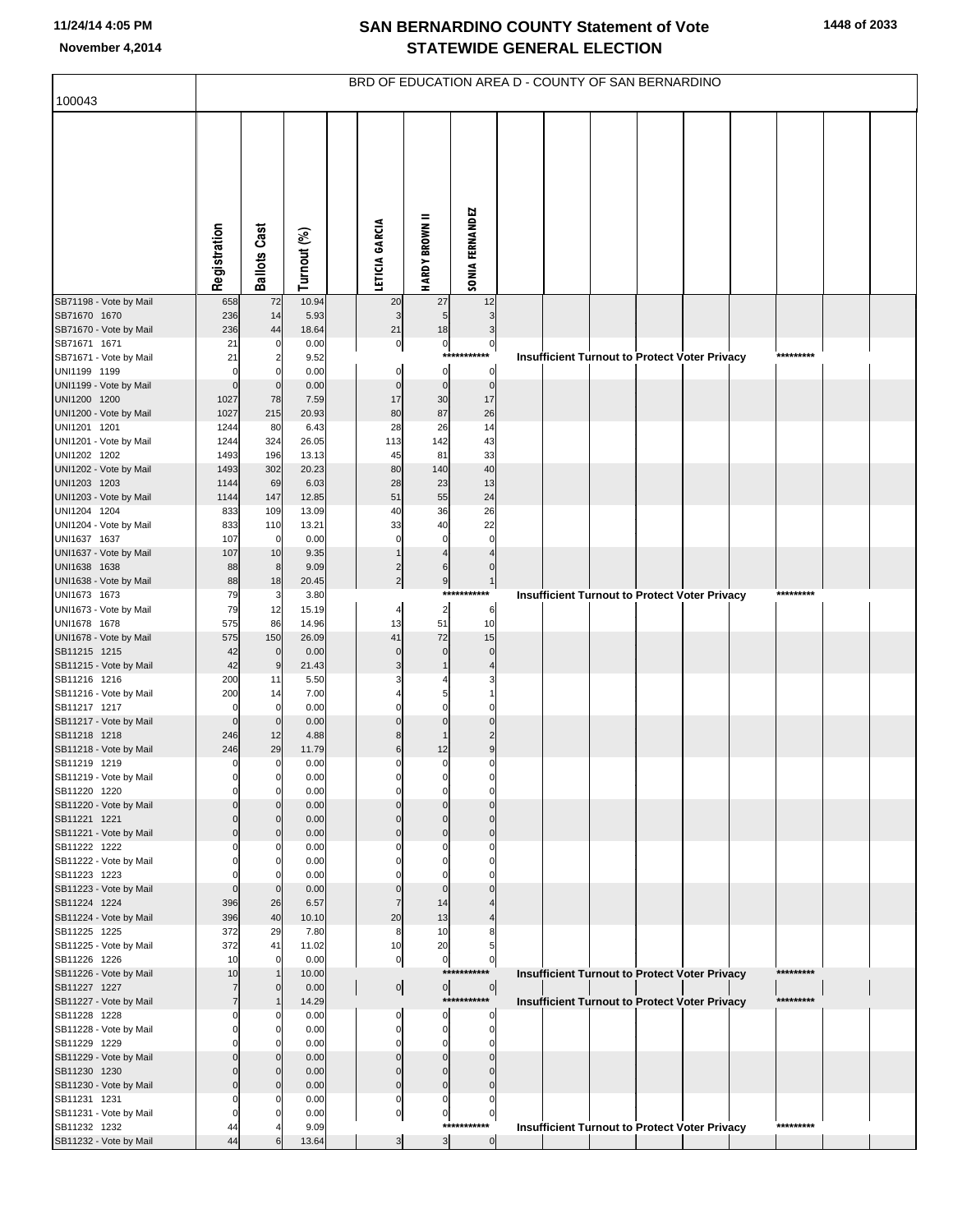| 100043                                 |                          |                               |                |                            |                            |                               | BRD OF EDUCATION AREA D - COUNTY OF SAN BERNARDINO   |  |  |           |  |
|----------------------------------------|--------------------------|-------------------------------|----------------|----------------------------|----------------------------|-------------------------------|------------------------------------------------------|--|--|-----------|--|
|                                        |                          |                               |                |                            |                            |                               |                                                      |  |  |           |  |
|                                        | Registration             | <b>Ballots Cast</b>           | Turnout (%)    | LETICIA GARCIA             | <b>HARDY BROWN II</b>      | <b>SONIA FERNANDEZ</b>        |                                                      |  |  |           |  |
| SB71198 - Vote by Mail                 | 658                      | 72                            | 10.94          | 20                         | 27                         | 12                            |                                                      |  |  |           |  |
| SB71670 1670<br>SB71670 - Vote by Mail | 236<br>236               | 14<br>44                      | 5.93<br>18.64  | $\mathbf{3}$<br>21         | 5<br>18                    | 3<br>3                        |                                                      |  |  |           |  |
| SB71671 1671                           | 21                       | 0                             | 0.00           | $\overline{0}$             | $\overline{0}$             | $\pmb{0}$                     |                                                      |  |  |           |  |
| SB71671 - Vote by Mail                 | 21                       | $\overline{\mathbf{c}}$       | 9.52           |                            | ***                        | ***                           | <b>Insufficient Turnout to Protect Voter Privacy</b> |  |  | ********* |  |
| UNI1199 1199<br>UNI1199 - Vote by Mail | $\Omega$<br>$\Omega$     | 0<br>$\mathbf 0$              | 0.00<br>0.00   | $\pmb{0}$<br>$\mathbf 0$   | $\pmb{0}$<br>$\pmb{0}$     | $\overline{0}$<br>$\pmb{0}$   |                                                      |  |  |           |  |
| UNI1200 1200                           | 1027                     | 78                            | 7.59           | 17                         | 30                         | 17                            |                                                      |  |  |           |  |
| UNI1200 - Vote by Mail<br>UNI1201 1201 | 1027<br>1244             | 215<br>80                     | 20.93<br>6.43  | 80<br>28                   | 87<br>26                   | 26<br>14                      |                                                      |  |  |           |  |
| UNI1201 - Vote by Mail                 | 1244                     | 324                           | 26.05          | 113                        | 142                        | 43                            |                                                      |  |  |           |  |
| UNI1202 1202                           | 1493                     | 196                           | 13.13          | 45                         | 81                         | 33                            |                                                      |  |  |           |  |
| UNI1202 - Vote by Mail<br>UNI1203 1203 | 1493<br>1144             | 302<br>69                     | 20.23<br>6.03  | 80<br>28                   | 140<br>23                  | 40<br>13                      |                                                      |  |  |           |  |
| UNI1203 - Vote by Mail                 | 1144                     | 147                           | 12.85          | 51                         | 55                         | 24                            |                                                      |  |  |           |  |
| UNI1204 1204                           | 833                      | 109                           | 13.09          | 40                         | 36                         | 26                            |                                                      |  |  |           |  |
| UNI1204 - Vote by Mail<br>UNI1637 1637 | 833<br>107               | 110<br>$\mathbf 0$            | 13.21<br>0.00  | 33<br>$\mathbf 0$          | 40<br>$\mathbf 0$          | 22<br>$\mathbf 0$             |                                                      |  |  |           |  |
| UNI1637 - Vote by Mail                 | 107                      | 10                            | 9.35           |                            | $\overline{\mathbf{A}}$    |                               |                                                      |  |  |           |  |
| UNI1638 1638<br>UNI1638 - Vote by Mail | 88<br>88                 | 8                             | 9.09<br>20.45  | $\frac{2}{2}$              | $\,6$                      | 0<br>$\mathbf{1}$             |                                                      |  |  |           |  |
| UNI1673 1673                           | 79                       | 18<br>3                       | 3.80           |                            | 9<br>****                  | ********                      | <b>Insufficient Turnout to Protect Voter Privacy</b> |  |  | ********* |  |
| UNI1673 - Vote by Mail                 | 79                       | 12                            | 15.19          | 4                          | $\overline{\mathbf{c}}$    | $\,6$                         |                                                      |  |  |           |  |
| UNI1678 1678<br>UNI1678 - Vote by Mail | 575<br>575               | 86<br>150                     | 14.96<br>26.09 | 13<br>41                   | 51<br>72                   | 10<br>15                      |                                                      |  |  |           |  |
| SB11215 1215                           | 42                       | $\mathbf 0$                   | 0.00           | $\pmb{0}$                  | $\mathbf 0$                | $\mathbf 0$                   |                                                      |  |  |           |  |
| SB11215 - Vote by Mail<br>SB11216 1216 | 42                       | 9                             | 21.43          | 3                          | $\mathbf{1}$               |                               |                                                      |  |  |           |  |
| SB11216 - Vote by Mail                 | 200<br>200               | 11<br>14                      | 5.50<br>7.00   |                            | 5                          |                               |                                                      |  |  |           |  |
| SB11217 1217                           | $\Omega$                 | 0                             | 0.00           | $\pmb{0}$                  | $\mathbf 0$                |                               |                                                      |  |  |           |  |
| SB11217 - Vote by Mail<br>SB11218 1218 | $\mathbf 0$<br>246       | $\mathbf 0$<br>12             | 0.00<br>4.88   | $\mathbf 0$<br>8           | $\Omega$<br>1              | $\overline{a}$                |                                                      |  |  |           |  |
| SB11218 - Vote by Mail                 | 246                      | 29                            | 11.79          | $\overline{6}$             | 12                         | 9                             |                                                      |  |  |           |  |
| SB11219 1219                           | $\mathbf{0}$             | $\overline{0}$                | 0.00           | $\mathbf{0}$               | $\pmb{0}$                  | $\pmb{0}$                     |                                                      |  |  |           |  |
| SB11219 - Vote by Mail<br>SB11220 1220 | $\mathbf{0}$<br>$\Omega$ | 0<br>$\mathbf 0$              | 0.00<br>0.00   | 0<br>$\mathbf 0$           | 0<br>$\mathbf 0$           | $\mathbf 0$                   |                                                      |  |  |           |  |
| SB11220 - Vote by Mail                 |                          | $\Omega$                      | 0.00           | $\Omega$                   | $\Omega$                   | $\Omega$                      |                                                      |  |  |           |  |
| SB11221 1221<br>SB11221 - Vote by Mail | 0<br>0                   | $\mathbf 0$<br>$\Omega$       | 0.00<br>0.00   | $\mathbf 0$<br>$\mathbf 0$ | $\mathbf 0$<br>$\Omega$    | $\Omega$<br>$\Omega$          |                                                      |  |  |           |  |
| SB11222 1222                           | 0                        | 0                             | 0.00           | 0                          | 0                          | O                             |                                                      |  |  |           |  |
| SB11222 - Vote by Mail                 | O                        | $\Omega$                      | 0.00           | $\Omega$                   | $\Omega$                   |                               |                                                      |  |  |           |  |
| SB11223 1223<br>SB11223 - Vote by Mail | $\Omega$                 | 0<br>$\mathbf 0$              | 0.00<br>0.00   | 0<br>$\mathbf 0$           | $\Omega$<br>$\Omega$       |                               |                                                      |  |  |           |  |
| SB11224 1224                           | 396                      | 26                            | 6.57           | $\overline{7}$             | 14                         |                               |                                                      |  |  |           |  |
| SB11224 - Vote by Mail<br>SB11225 1225 | 396<br>372               | 40<br>29                      | 10.10<br>7.80  | 20<br>8                    | 13<br>10                   | 8                             |                                                      |  |  |           |  |
| SB11225 - Vote by Mail                 | 372                      | 41                            | 11.02          | 10                         | 20                         |                               |                                                      |  |  |           |  |
| SB11226 1226                           | 10                       | 0                             | 0.00           | $\overline{0}$             | $\pmb{0}$                  | $\overline{0}$                |                                                      |  |  |           |  |
| SB11226 - Vote by Mail<br>SB11227 1227 | 10<br>7                  | $\overline{1}$<br>$\mathbf 0$ | 10.00<br>0.00  | $\overline{0}$             | ***<br>$\overline{0}$      | $\circ$                       | <b>Insufficient Turnout to Protect Voter Privacy</b> |  |  | ********  |  |
| SB11227 - Vote by Mail                 | 7                        | $\mathbf 1$                   | 14.29          |                            |                            | ***********                   | <b>Insufficient Turnout to Protect Voter Privacy</b> |  |  | ********* |  |
| SB11228 1228                           | $\Omega$                 | 0                             | 0.00           | $\mathbf 0$                | 0                          | 0                             |                                                      |  |  |           |  |
| SB11228 - Vote by Mail<br>SB11229 1229 | $\Omega$<br>O            | 0<br>0                        | 0.00<br>0.00   | $\mathbf 0$<br>$\mathbf 0$ | 0<br>$\mathbf 0$           | $\mathbf 0$<br>$\Omega$       |                                                      |  |  |           |  |
| SB11229 - Vote by Mail                 | O                        | $\Omega$                      | 0.00           | $\mathbf 0$                | $\Omega$                   |                               |                                                      |  |  |           |  |
| SB11230 1230<br>SB11230 - Vote by Mail | 0<br>0                   | $\mathbf 0$<br>$\Omega$       | 0.00<br>0.00   | $\mathbf 0$<br>$\mathbf 0$ | $\mathbf 0$<br>$\mathbf 0$ |                               |                                                      |  |  |           |  |
| SB11231 1231                           | $\Omega$                 | 0                             | 0.00           | $\mathbf 0$                | 0                          | $\Omega$                      |                                                      |  |  |           |  |
| SB11231 - Vote by Mail                 | 0                        | 0                             | 0.00           | $\mathbf{0}$               | $\pmb{0}$                  | $\mathbf 0$                   |                                                      |  |  |           |  |
| SB11232 1232<br>SB11232 - Vote by Mail | 44<br>44                 |                               | 9.09<br>13.64  | $\overline{3}$             | $\mathbf{3}$               | ***********<br>$\overline{0}$ | <b>Insufficient Turnout to Protect Voter Privacy</b> |  |  | ********* |  |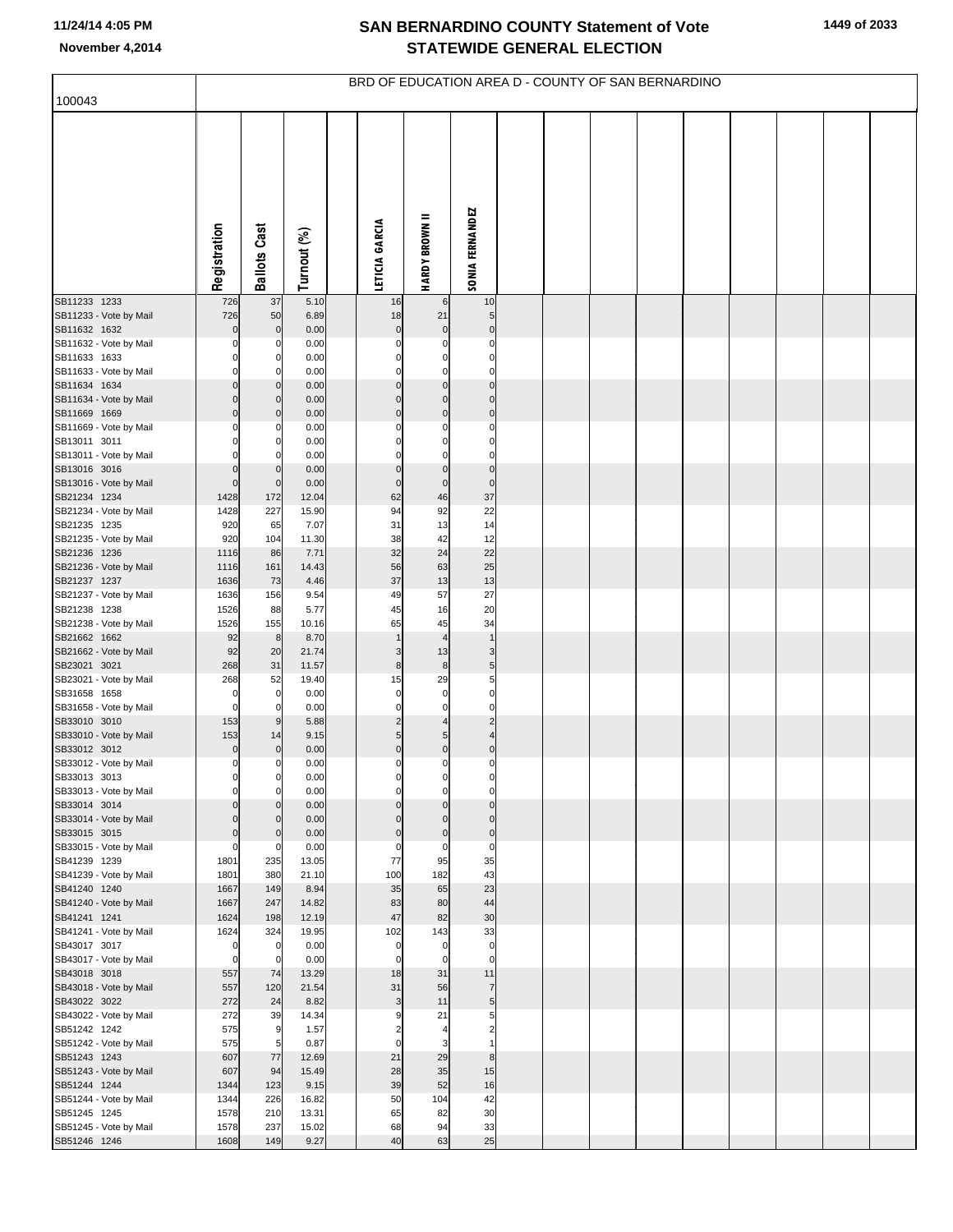| 100043                                 |                         |                     |                | BRD OF EDUCATION AREA D - COUNTY OF SAN BERNARDINO |                            |                              |  |  |  |  |  |
|----------------------------------------|-------------------------|---------------------|----------------|----------------------------------------------------|----------------------------|------------------------------|--|--|--|--|--|
|                                        |                         |                     |                |                                                    |                            |                              |  |  |  |  |  |
|                                        | Registration            | <b>Ballots Cast</b> | Turnout (%)    | LETICIA GARCIA                                     | <b>HARDY BROWN II</b>      | SONIA FERNANDEZ              |  |  |  |  |  |
| SB11233 1233<br>SB11233 - Vote by Mail | 726<br>726              | 37<br>50            | 5.10<br>6.89   | 16<br>18                                           | 6<br>21                    | 10<br>$\sqrt{5}$             |  |  |  |  |  |
| SB11632 1632                           | 0                       | $\mathbf 0$         | 0.00           | $\mathbf 0$                                        | $\mathbf 0$                | $\pmb{0}$                    |  |  |  |  |  |
| SB11632 - Vote by Mail                 | 0                       | 0                   | 0.00           | $\mathbf 0$                                        | $\mathbf 0$                | $\mathbf 0$                  |  |  |  |  |  |
| SB11633 1633                           | 0<br>0                  | $\overline{0}$      | 0.00           | $\mathbf 0$<br>$\mathbf 0$                         | $\mathbf 0$                | $\mathbf 0$<br>$\mathbf 0$   |  |  |  |  |  |
| SB11633 - Vote by Mail<br>SB11634 1634 | 0                       | 0<br>$\mathbf 0$    | 0.00<br>0.00   | $\mathbf 0$                                        | $\mathbf 0$<br>$\mathbf 0$ | $\mathbf 0$                  |  |  |  |  |  |
| SB11634 - Vote by Mail                 | 0                       | $\mathbf 0$         | 0.00           | $\mathbf 0$                                        | $\mathbf 0$                | $\mathbf 0$                  |  |  |  |  |  |
| SB11669 1669                           | $\mathbf 0$             | $\mathbf 0$         | 0.00           | $\mathbf 0$                                        | $\mathbf 0$                | $\pmb{0}$                    |  |  |  |  |  |
| SB11669 - Vote by Mail                 | 0<br>0                  | 0                   | 0.00           | $\mathbf 0$<br>$\mathbf 0$                         | 0                          | $\mathbf 0$<br>$\mathbf 0$   |  |  |  |  |  |
| SB13011 3011<br>SB13011 - Vote by Mail | $\Omega$                | 0<br>0              | 0.00<br>0.00   | $\mathbf 0$                                        | $\mathbf 0$<br>$\mathbf 0$ | $\mathbf 0$                  |  |  |  |  |  |
| SB13016 3016                           | 0                       | $\overline{0}$      | 0.00           | $\mathbf 0$                                        | $\mathbf 0$                | $\pmb{0}$                    |  |  |  |  |  |
| SB13016 - Vote by Mail                 | $\mathbf 0$             | $\mathbf 0$         | 0.00           | $\mathbf 0$                                        | $\mathbf 0$                | $\mathbf 0$                  |  |  |  |  |  |
| SB21234 1234<br>SB21234 - Vote by Mail | 1428<br>1428            | 172<br>227          | 12.04<br>15.90 | 62<br>94                                           | 46<br>92                   | 37<br>22                     |  |  |  |  |  |
| SB21235 1235                           | 920                     | 65                  | 7.07           | 31                                                 | 13                         | 14                           |  |  |  |  |  |
| SB21235 - Vote by Mail                 | 920                     | 104                 | 11.30          | 38                                                 | 42                         | 12                           |  |  |  |  |  |
| SB21236 1236                           | 1116                    | 86                  | 7.71           | 32                                                 | 24                         | 22                           |  |  |  |  |  |
| SB21236 - Vote by Mail<br>SB21237 1237 | 1116<br>1636            | 161<br>73           | 14.43<br>4.46  | 56<br>37                                           | 63<br>13                   | 25<br>13                     |  |  |  |  |  |
| SB21237 - Vote by Mail                 | 1636                    | 156                 | 9.54           | 49                                                 | 57                         | 27                           |  |  |  |  |  |
| SB21238 1238                           | 1526                    | 88                  | 5.77           | 45                                                 | 16                         | 20                           |  |  |  |  |  |
| SB21238 - Vote by Mail<br>SB21662 1662 | 1526<br>92              | 155<br>8            | 10.16<br>8.70  | 65<br>$\mathbf{1}$                                 | 45<br>$\overline{4}$       | 34<br>$\overline{1}$         |  |  |  |  |  |
| SB21662 - Vote by Mail                 | 92                      | 20                  | 21.74          | 3                                                  | 13                         | 3                            |  |  |  |  |  |
| SB23021 3021                           | 268                     | 31                  | 11.57          | 8                                                  | 8                          | $\sqrt{5}$                   |  |  |  |  |  |
| SB23021 - Vote by Mail                 | 268                     | 52                  | 19.40          | 15<br>$\mathbf 0$                                  | 29                         | 5<br>$\mathbf 0$             |  |  |  |  |  |
| SB31658 1658<br>SB31658 - Vote by Mail | 0<br>0                  | $\overline{0}$<br>0 | 0.00<br>0.00   | $\mathbf 0$                                        | $\mathbf 0$<br>$\mathbf 0$ | $\mathbf 0$                  |  |  |  |  |  |
| SB33010 3010                           | 153                     | 9                   | 5.88           | $\overline{c}$                                     | $\overline{4}$             | $\overline{c}$               |  |  |  |  |  |
| SB33010 - Vote by Mail                 | 153                     | 14                  | 9.15           | $\overline{5}$<br>$\mathbf 0$                      | 5                          | $\overline{4}$               |  |  |  |  |  |
| SB33012 3012<br>SB33012 - Vote by Mail | 0<br>0                  | $\mathbf 0$<br>0    | 0.00<br>0.00   | $\mathbf 0$                                        | $\mathbf 0$<br>0           | $\pmb{0}$<br>0               |  |  |  |  |  |
| SB33013 3013                           |                         | 0                   | 0.00           | 0                                                  |                            |                              |  |  |  |  |  |
| SB33013 - Vote by Mail                 | 0                       | 0                   | 0.00           | $\mathbf 0$                                        | $\mathbf 0$                | $\mathbf 0$                  |  |  |  |  |  |
| SB33014 3014<br>SB33014 - Vote by Mail | $\mathbf 0$<br>$\Omega$ | 0<br>$\mathbf 0$    | 0.00<br>0.00   | $\mathbf 0$<br>$\mathbf 0$                         | $\mathbf 0$<br>$\mathbf 0$ | $\mathbf 0$<br>$\mathbf 0$   |  |  |  |  |  |
| SB33015 3015                           | $\mathbf 0$             | $\mathbf 0$         | 0.00           | $\mathbf 0$                                        | $\mathbf 0$                | $\pmb{0}$                    |  |  |  |  |  |
| SB33015 - Vote by Mail                 | 0                       | 0                   | 0.00           | $\mathbf 0$                                        | $\mathbf 0$                | $\mathbf 0$                  |  |  |  |  |  |
| SB41239 1239<br>SB41239 - Vote by Mail | 1801<br>1801            | 235<br>380          | 13.05<br>21.10 | 77<br>100                                          | 95<br>182                  | 35<br>43                     |  |  |  |  |  |
| SB41240 1240                           | 1667                    | 149                 | 8.94           | 35                                                 | 65                         | 23                           |  |  |  |  |  |
| SB41240 - Vote by Mail                 | 1667                    | 247                 | 14.82          | 83                                                 | 80                         | 44                           |  |  |  |  |  |
| SB41241 1241                           | 1624                    | 198                 | 12.19          | 47                                                 | 82                         | 30                           |  |  |  |  |  |
| SB41241 - Vote by Mail<br>SB43017 3017 | 1624<br>0               | 324<br>$\mathbf 0$  | 19.95<br>0.00  | 102<br>$\mathbf 0$                                 | 143<br>$\mathbf 0$         | 33<br>$\pmb{0}$              |  |  |  |  |  |
| SB43017 - Vote by Mail                 | 0                       | $\mathbf 0$         | 0.00           | $\mathbf 0$                                        | $\mathbf 0$                | $\mathbf 0$                  |  |  |  |  |  |
| SB43018 3018                           | 557                     | 74                  | 13.29          | 18                                                 | 31                         | 11                           |  |  |  |  |  |
| SB43018 - Vote by Mail<br>SB43022 3022 | 557<br>272              | 120<br>24           | 21.54<br>8.82  | 31<br>$\mathsf 3$                                  | 56<br>11                   | $\overline{7}$<br>$\sqrt{5}$ |  |  |  |  |  |
| SB43022 - Vote by Mail                 | 272                     | 39                  | 14.34          | 9                                                  | 21                         | 5                            |  |  |  |  |  |
| SB51242 1242                           | 575                     | 9                   | 1.57           | $\overline{c}$                                     | $\overline{4}$             | $\overline{2}$               |  |  |  |  |  |
| SB51242 - Vote by Mail                 | 575                     | 5                   | 0.87           | $\mathbf 0$                                        | 3                          |                              |  |  |  |  |  |
| SB51243 1243<br>SB51243 - Vote by Mail | 607<br>607              | 77<br>94            | 12.69<br>15.49 | 21<br>28                                           | 29<br>35                   | $\bf8$<br>15                 |  |  |  |  |  |
| SB51244 1244                           | 1344                    | 123                 | 9.15           | 39                                                 | 52                         | 16                           |  |  |  |  |  |
| SB51244 - Vote by Mail                 | 1344                    | 226                 | 16.82          | 50                                                 | 104                        | 42                           |  |  |  |  |  |
| SB51245 1245                           | 1578                    | 210                 | 13.31          | 65                                                 | 82                         | 30                           |  |  |  |  |  |
| SB51245 - Vote by Mail<br>SB51246 1246 | 1578<br>1608            | 237<br>149          | 15.02<br>9.27  | 68<br>40                                           | 94<br>63                   | 33<br>25                     |  |  |  |  |  |
|                                        |                         |                     |                |                                                    |                            |                              |  |  |  |  |  |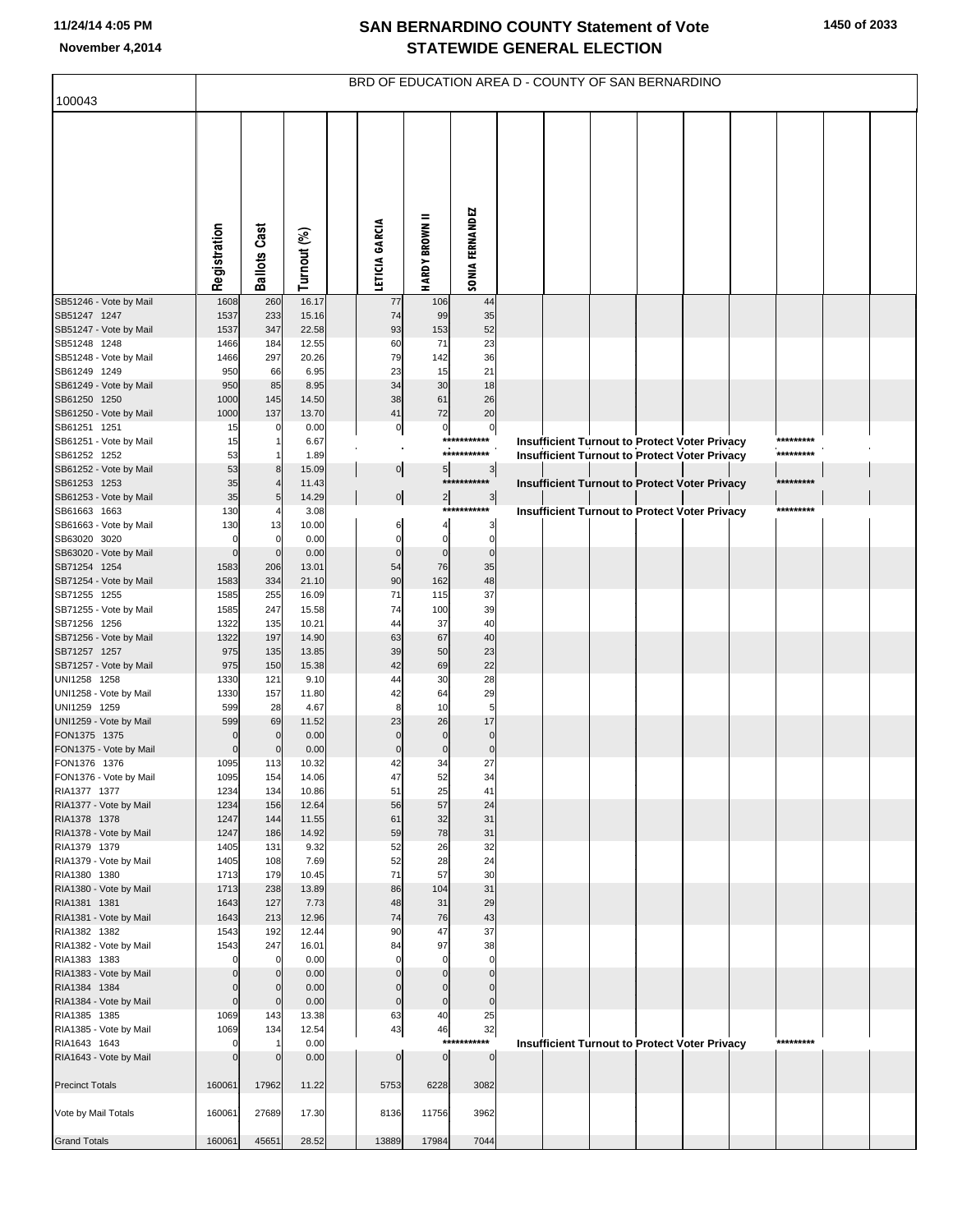| 100043                                 |              |                          |                | BRD OF EDUCATION AREA D - COUNTY OF SAN BERNARDINO |                         |                              |  |  |                                                      |           |  |
|----------------------------------------|--------------|--------------------------|----------------|----------------------------------------------------|-------------------------|------------------------------|--|--|------------------------------------------------------|-----------|--|
|                                        |              |                          |                |                                                    |                         |                              |  |  |                                                      |           |  |
|                                        | Registration | <b>Ballots Cast</b>      | Turnout (%)    | LETICIA GARCIA                                     | =<br><b>HARDY BROWN</b> | SONIA FERNANDEZ              |  |  |                                                      |           |  |
| SB51246 - Vote by Mail                 | 1608         | 260                      | 16.17          | 77                                                 | 106                     | 44                           |  |  |                                                      |           |  |
| SB51247 1247<br>SB51247 - Vote by Mail | 1537<br>1537 | 233<br>347               | 15.16<br>22.58 | 74<br>93                                           | 99<br>153               | 35<br>52                     |  |  |                                                      |           |  |
| SB51248 1248                           | 1466         | 184                      | 12.55          | 60                                                 | 71                      | 23                           |  |  |                                                      |           |  |
| SB51248 - Vote by Mail                 | 1466         | 297                      | 20.26          | 79                                                 | 142                     | 36                           |  |  |                                                      |           |  |
| SB61249 1249                           | 950          | 66                       | 6.95           | 23                                                 | 15                      | 21                           |  |  |                                                      |           |  |
| SB61249 - Vote by Mail<br>SB61250 1250 | 950<br>1000  | 85<br>145                | 8.95<br>14.50  | 34<br>38                                           | 30<br>61                | 18<br>26                     |  |  |                                                      |           |  |
| SB61250 - Vote by Mail                 | 1000         | 137                      | 13.70          | 41                                                 | 72                      | 20                           |  |  |                                                      |           |  |
| SB61251 1251                           | 15           | 0                        | 0.00           | $\overline{0}$                                     | $\overline{0}$          | $\circ$                      |  |  |                                                      |           |  |
| SB61251 - Vote by Mail                 | 15           | 1                        | 6.67           |                                                    |                         | ***********                  |  |  | <b>Insufficient Turnout to Protect Voter Privacy</b> | ********* |  |
| SB61252 1252                           | 53           | 1                        | 1.89           |                                                    |                         | ***********                  |  |  | <b>Insufficient Turnout to Protect Voter Privacy</b> | ********* |  |
| SB61252 - Vote by Mail<br>SB61253 1253 | 53<br>35     | $\bf8$<br>$\overline{4}$ | 15.09          | $\overline{0}$                                     | 5                       | $\frac{3}{2}$<br>*********** |  |  |                                                      | ********* |  |
| SB61253 - Vote by Mail                 | 35           | 5                        | 11.43<br>14.29 | $\mathbf{0}$                                       | $\overline{a}$          | $\mathbf{3}$                 |  |  | <b>Insufficient Turnout to Protect Voter Privacy</b> |           |  |
| SB61663 1663                           | 130          |                          | 3.08           |                                                    |                         | ***********                  |  |  | <b>Insufficient Turnout to Protect Voter Privacy</b> | ********* |  |
| SB61663 - Vote by Mail                 | 130          | 13                       | 10.00          | 6                                                  | 4                       | 3                            |  |  |                                                      |           |  |
| SB63020 3020                           | $\Omega$     | 0                        | 0.00           | 0                                                  | $\mathbf 0$             | $\mathbf 0$                  |  |  |                                                      |           |  |
| SB63020 - Vote by Mail                 | $\Omega$     | $\mathbf 0$              | 0.00           | $\overline{0}$                                     | $\pmb{0}$               | $\bf{0}$<br>35               |  |  |                                                      |           |  |
| SB71254 1254<br>SB71254 - Vote by Mail | 1583<br>1583 | 206<br>334               | 13.01<br>21.10 | 54<br>90                                           | 76<br>162               | 48                           |  |  |                                                      |           |  |
| SB71255 1255                           | 1585         | 255                      | 16.09          | 71                                                 | 115                     | 37                           |  |  |                                                      |           |  |
| SB71255 - Vote by Mail                 | 1585         | 247                      | 15.58          | 74                                                 | 100                     | 39                           |  |  |                                                      |           |  |
| SB71256 1256                           | 1322         | 135                      | 10.21          | 44                                                 | 37                      | 40                           |  |  |                                                      |           |  |
| SB71256 - Vote by Mail                 | 1322         | 197                      | 14.90          | 63                                                 | 67                      | 40<br>23                     |  |  |                                                      |           |  |
| SB71257 1257<br>SB71257 - Vote by Mail | 975<br>975   | 135<br>150               | 13.85<br>15.38 | 39<br>42                                           | 50<br>69                | 22                           |  |  |                                                      |           |  |
| UNI1258 1258                           | 1330         | 121                      | 9.10           | 44                                                 | 30                      | 28                           |  |  |                                                      |           |  |
| UNI1258 - Vote by Mail                 | 1330         | 157                      | 11.80          | 42                                                 | 64                      | 29                           |  |  |                                                      |           |  |
| UNI1259 1259                           | 599          | 28                       | 4.67           | 8                                                  | 10                      | 5                            |  |  |                                                      |           |  |
| UNI1259 - Vote by Mail<br>FON1375 1375 | 599          | 69<br>$\mathbf 0$        | 11.52<br>0.00  | 23<br>$\mathbf 0$                                  | 26<br>$\pmb{0}$         | 17<br>$\bf{0}$               |  |  |                                                      |           |  |
| FON1375 - Vote by Mail                 |              | $\mathbf 0$              | 0.00           | $\mathbf{0}$                                       | $\pmb{0}$               | $\pmb{0}$                    |  |  |                                                      |           |  |
| FON1376 1376                           | 1095         | 113                      | 10.32          | 42                                                 | 34                      | 27                           |  |  |                                                      |           |  |
| FON1376 - Vote by Mail                 | 1095         | 154                      | 14.06          | 47                                                 | 52                      | 34                           |  |  |                                                      |           |  |
| RIA1377 1377<br>RIA1377 - Vote by Mail | 1234<br>1234 | 134<br>156               | 10.86<br>12.64 | 51<br>56                                           | 25<br>57                | 41<br>24                     |  |  |                                                      |           |  |
| RIA1378 1378                           | 1247         | 144                      | 11.55          | 61                                                 | 32                      | 31                           |  |  |                                                      |           |  |
| RIA1378 - Vote by Mail                 | 1247         | 186                      | 14.92          | 59                                                 | 78                      | 31                           |  |  |                                                      |           |  |
| RIA1379 1379                           | 1405         | 131                      | 9.32           | 52                                                 | 26                      | 32                           |  |  |                                                      |           |  |
| RIA1379 - Vote by Mail                 | 1405         | 108                      | 7.69           | 52                                                 | 28                      | 24                           |  |  |                                                      |           |  |
| RIA1380 1380<br>RIA1380 - Vote by Mail | 1713<br>1713 | 179<br>238               | 10.45<br>13.89 | 71<br>86                                           | 57<br>104               | 30<br>31                     |  |  |                                                      |           |  |
| RIA1381 1381                           | 1643         | 127                      | 7.73           | 48                                                 | 31                      | 29                           |  |  |                                                      |           |  |
| RIA1381 - Vote by Mail                 | 1643         | 213                      | 12.96          | 74                                                 | 76                      | 43                           |  |  |                                                      |           |  |
| RIA1382 1382                           | 1543         | 192                      | 12.44          | 90                                                 | 47                      | 37                           |  |  |                                                      |           |  |
| RIA1382 - Vote by Mail<br>RIA1383 1383 | 1543         | 247<br>$\mathbf 0$       | 16.01<br>0.00  | 84<br>$\Omega$                                     | 97<br>$\Omega$          | 38<br>$\mathbf 0$            |  |  |                                                      |           |  |
| RIA1383 - Vote by Mail                 |              | $\pmb{0}$                | 0.00           | $\Omega$                                           | $\mathbf 0$             | $\bf{0}$                     |  |  |                                                      |           |  |
| RIA1384 1384                           |              | $\mathbf 0$              | 0.00           | $\Omega$                                           | $\pmb{0}$               | $\mathbf 0$                  |  |  |                                                      |           |  |
| RIA1384 - Vote by Mail                 | O            | $\mathbf 0$              | 0.00           | $\overline{0}$                                     | $\overline{0}$          | $\mathbf 0$                  |  |  |                                                      |           |  |
| RIA1385 1385                           | 1069         | 143                      | 13.38          | 63                                                 | 40                      | 25                           |  |  |                                                      |           |  |
| RIA1385 - Vote by Mail<br>RIA1643 1643 | 1069         | 134<br>-1                | 12.54          | 43                                                 | 46<br>$***$             | 32<br>****                   |  |  |                                                      | ********* |  |
| RIA1643 - Vote by Mail                 |              | $\mathbf 0$              | 0.00<br>0.00   | 0                                                  | $\pmb{0}$               | $\overline{0}$               |  |  | <b>Insufficient Turnout to Protect Voter Privacy</b> |           |  |
|                                        |              |                          |                |                                                    |                         |                              |  |  |                                                      |           |  |
| <b>Precinct Totals</b>                 | 160061       | 17962                    | 11.22          | 5753                                               | 6228                    | 3082                         |  |  |                                                      |           |  |
|                                        |              |                          |                |                                                    |                         |                              |  |  |                                                      |           |  |
| Vote by Mail Totals                    | 160061       | 27689                    | 17.30          | 8136                                               | 11756                   | 3962                         |  |  |                                                      |           |  |
| <b>Grand Totals</b>                    | 160061       | 45651                    | 28.52          | 13889                                              | 17984                   | 7044                         |  |  |                                                      |           |  |